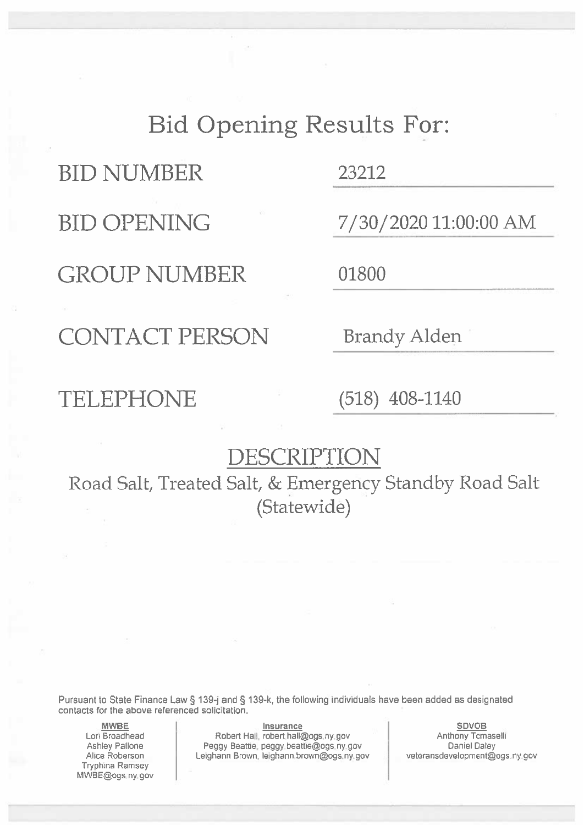### **Bid Opening Results For:**

**BID NUMBER** 

**BID OPENING** 

**GROUP NUMBER** 

23212

7/30/2020 11:00:00 AM

01800

**CONTACT PERSON** 

### TELEPHONE

**Brandy Alden** 

 $(518)$  408-1140

#### DESCRIPTION

Road Salt, Treated Salt, & Emergency Standby Road Salt (Statewide)

Pursuant to State Finance Law § 139-j and § 139-k, the following individuals have been added as designated contacts for the above referenced solicitation.

**MWBE** Lori Broadhead Ashley Pallone Alice Roberson **Tryphina Ramsey** MWBE@ogs.ny.gov

Insurance Robert Hall, robert hall@ogs.ny.gov Peggy Beattie, peggy beattie@ogs.ny.gov Leighann Brown, leighann brown@ogs.ny.gov

**SDVOB** Anthony Tomaselli Daniel Daley veteransdevelopment@ogs.ny.gov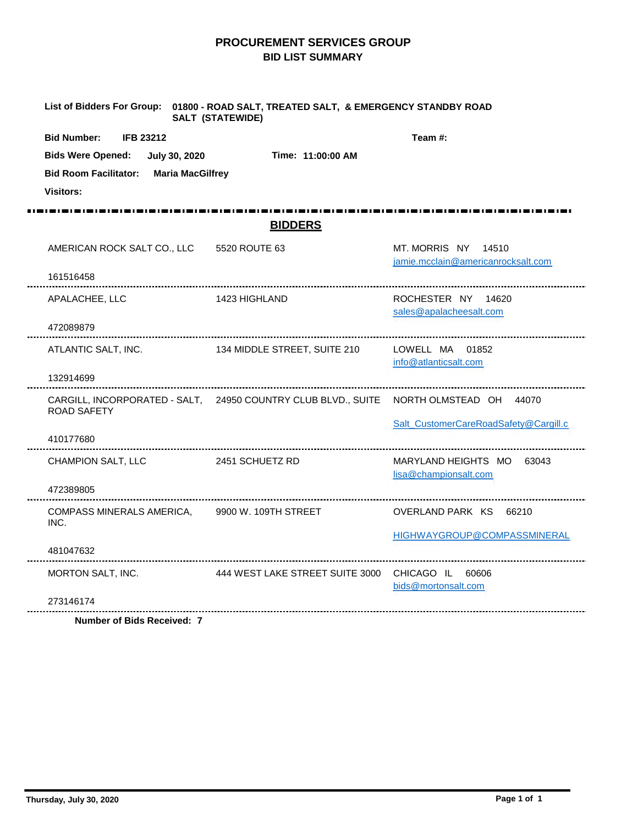#### **PROCUREMENT SERVICES GROUP BID LIST SUMMARY**

| <b>Bid Number:</b><br><b>IFB 23212</b><br><b>Bids Were Opened:</b><br>Time: 11:00:00 AM<br>July 30, 2020<br><b>Bid Room Facilitator:</b><br><b>Maria MacGilfrey</b> | Team #:                                                   |
|---------------------------------------------------------------------------------------------------------------------------------------------------------------------|-----------------------------------------------------------|
|                                                                                                                                                                     |                                                           |
|                                                                                                                                                                     |                                                           |
|                                                                                                                                                                     |                                                           |
| <b>Visitors:</b>                                                                                                                                                    |                                                           |
|                                                                                                                                                                     |                                                           |
| <b>BIDDERS</b>                                                                                                                                                      |                                                           |
| AMERICAN ROCK SALT CO., LLC 5520 ROUTE 63                                                                                                                           | MT. MORRIS NY 14510<br>jamie.mcclain@americanrocksalt.com |
| 161516458                                                                                                                                                           |                                                           |
| APALACHEE, LLC<br>1423 HIGHLAND                                                                                                                                     | ROCHESTER NY 14620<br>sales@apalacheesalt.com             |
| 472089879                                                                                                                                                           |                                                           |
| ATLANTIC SALT, INC.<br>134 MIDDLE STREET, SUITE 210                                                                                                                 | LOWELL MA 01852<br>info@atlanticsalt.com                  |
| 132914699                                                                                                                                                           |                                                           |
| CARGILL, INCORPORATED - SALT, 24950 COUNTRY CLUB BLVD., SUITE NORTH OLMSTEAD OH 44070<br><b>ROAD SAFETY</b>                                                         |                                                           |
|                                                                                                                                                                     | Salt_CustomerCareRoadSafety@Cargill.c                     |
| 410177680                                                                                                                                                           |                                                           |
| CHAMPION SALT, LLC<br>2451 SCHUETZ RD                                                                                                                               | MARYLAND HEIGHTS MO 63043<br>lisa@championsalt.com        |
| 472389805                                                                                                                                                           |                                                           |
| 9900 W. 109TH STREET<br>COMPASS MINERALS AMERICA.<br>INC.                                                                                                           | OVERLAND PARK KS 66210                                    |
|                                                                                                                                                                     | HIGHWAYGROUP@COMPASSMINERAL                               |
| 481047632                                                                                                                                                           |                                                           |
| MORTON SALT, INC.<br>444 WEST LAKE STREET SUITE 3000 CHICAGO IL 60606                                                                                               | bids@mortonsalt.com                                       |
| 273146174                                                                                                                                                           |                                                           |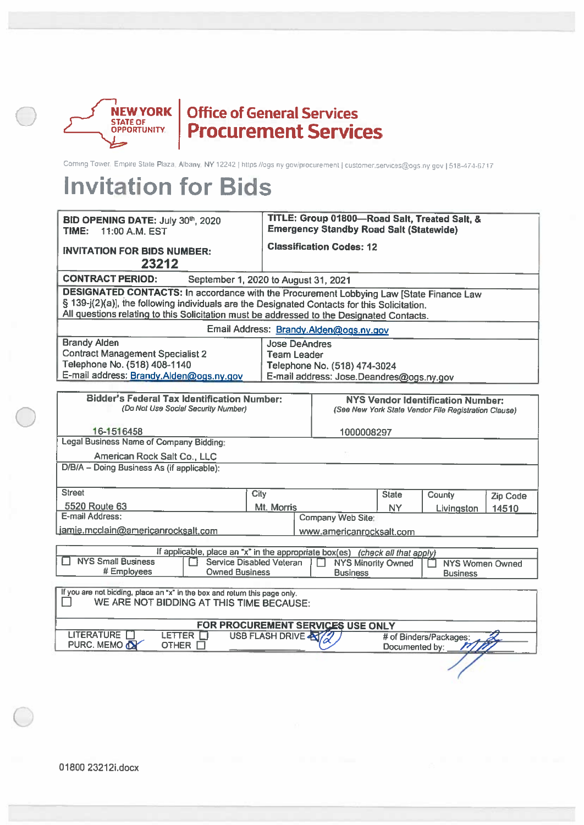

# **NEW YORK Office of General Services**<br> **STATE OF PLOCUTE PROCUTE SERVICES**

Coming Tower, Empire State Plaza, Albany, NY 12242 | https://ogs.ny.gov/procurement | customer.services@ogs.ny.gov | 518-474-6717

| BID OPENING DATE: July 30th, 2020<br>TIME:<br>11:00 A.M. EST                                                                                                                                                                                                                                |                                            | TITLE: Group 01800-Road Salt, Treated Salt, &<br><b>Emergency Standby Road Salt (Statewide)</b>  |                |                        |          |  |
|---------------------------------------------------------------------------------------------------------------------------------------------------------------------------------------------------------------------------------------------------------------------------------------------|--------------------------------------------|--------------------------------------------------------------------------------------------------|----------------|------------------------|----------|--|
| <b>INVITATION FOR BIDS NUMBER:</b><br>23212                                                                                                                                                                                                                                                 |                                            | <b>Classification Codes: 12</b>                                                                  |                |                        |          |  |
| <b>CONTRACT PERIOD:</b><br>September 1, 2020 to August 31, 2021                                                                                                                                                                                                                             |                                            |                                                                                                  |                |                        |          |  |
| <b>DESIGNATED CONTACTS: In accordance with the Procurement Lobbying Law [State Finance Law</b><br>§ 139-j(2)(a)], the following individuals are the Designated Contacts for this Solicitation.<br>All questions relating to this Solicitation must be addressed to the Designated Contacts. |                                            |                                                                                                  |                |                        |          |  |
|                                                                                                                                                                                                                                                                                             |                                            | Email Address: Brandy.Alden@ogs.ny.gov                                                           |                |                        |          |  |
| <b>Brandy Alden</b><br><b>Contract Management Specialist 2</b><br>Telephone No. (518) 408-1140<br>E-mail address: Brandy.Alden@ogs.ny.gov                                                                                                                                                   | <b>Jose DeAndres</b><br><b>Team Leader</b> | Telephone No. (518) 474-3024<br>E-mail address: Jose.Deandres@ogs.ny.gov                         |                |                        |          |  |
| <b>Bidder's Federal Tax Identification Number:</b><br>(Do Not Use Social Security Number)                                                                                                                                                                                                   |                                            | <b>NYS Vendor Identification Number:</b><br>(See New York State Vendor File Registration Clause) |                |                        |          |  |
| 16-1516458                                                                                                                                                                                                                                                                                  |                                            | 1000008297                                                                                       |                |                        |          |  |
| <b>Legal Business Name of Company Bidding:</b>                                                                                                                                                                                                                                              |                                            |                                                                                                  |                |                        |          |  |
| American Rock Salt Co., LLC                                                                                                                                                                                                                                                                 |                                            |                                                                                                  |                |                        |          |  |
| D/B/A - Doing Business As (if applicable):                                                                                                                                                                                                                                                  |                                            |                                                                                                  |                |                        |          |  |
| <b>Street</b><br>City                                                                                                                                                                                                                                                                       |                                            |                                                                                                  | <b>State</b>   | County                 | Zip Code |  |
| <b>5520 Route 63</b>                                                                                                                                                                                                                                                                        | Mt. Morris                                 |                                                                                                  | NY.            | Livingston             | 14510    |  |
| E-mail Address:                                                                                                                                                                                                                                                                             |                                            | <b>Company Web Site:</b>                                                                         |                |                        |          |  |
| jamie.mcclain@americanrocksalt.com                                                                                                                                                                                                                                                          |                                            | www.americanrocksalt.com                                                                         |                |                        |          |  |
| If applicable, place an "x" in the appropriate box(es) (check all that apply)<br><b>NYS Small Business</b><br><b>Service Disabled Veteran</b><br><b>NYS Minority Owned</b><br><b>NYS Women Owned</b><br># Employees<br><b>Owned Business</b><br><b>Business</b><br><b>Business</b>          |                                            |                                                                                                  |                |                        |          |  |
| If you are not bidding, place an "x" in the box and return this page only.<br>WE ARE NOT BIDDING AT THIS TIME BECAUSE:                                                                                                                                                                      |                                            |                                                                                                  |                |                        |          |  |
| LITERATURE <b>N</b><br>LETTER <b>N</b><br>PURC. MEMO T<br>OTHER $\square$                                                                                                                                                                                                                   | USB FLASH DRIVE                            | FOR PROCUREMENT SERVICES USE ONLY                                                                | Documented by: | # of Binders/Packages: |          |  |
|                                                                                                                                                                                                                                                                                             |                                            |                                                                                                  |                |                        |          |  |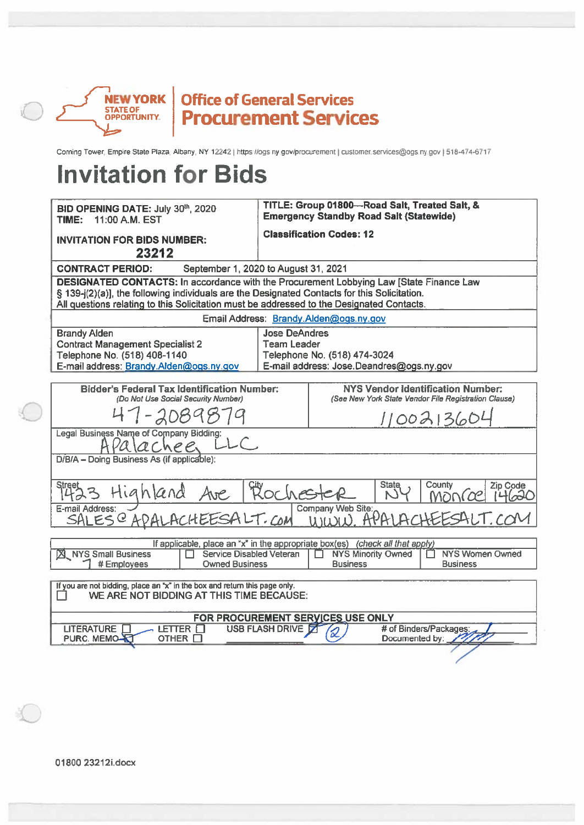

## **NEW YORK | Office of General Services**<br>STATE OF | **Procurement Services**

Coming Tower, Empire State Plaza, Albany, NY 12242 | https://ogs.ny.gov/procurement | customer.services@ogs.ny.gov | 518-474-6717

| BID OPENING DATE: July 30th, 2020<br><b>TIME: 11:00 A.M. EST</b>                                                                                                                                                                                                                            |                                            | TITLE: Group 01800-Road Salt, Treated Salt, &<br><b>Emergency Standby Road Salt (Statewide)</b>                                                                  |  |  |  |  |  |  |  |
|---------------------------------------------------------------------------------------------------------------------------------------------------------------------------------------------------------------------------------------------------------------------------------------------|--------------------------------------------|------------------------------------------------------------------------------------------------------------------------------------------------------------------|--|--|--|--|--|--|--|
| <b>INVITATION FOR BIDS NUMBER:</b><br>23212                                                                                                                                                                                                                                                 |                                            | <b>Classification Codes: 12</b>                                                                                                                                  |  |  |  |  |  |  |  |
| September 1, 2020 to August 31, 2021<br><b>CONTRACT PERIOD:</b>                                                                                                                                                                                                                             |                                            |                                                                                                                                                                  |  |  |  |  |  |  |  |
| <b>DESIGNATED CONTACTS: In accordance with the Procurement Lobbying Law [State Finance Law</b><br>§ 139-j(2)(a)], the following individuals are the Designated Contacts for this Solicitation.<br>All questions relating to this Solicitation must be addressed to the Designated Contacts. |                                            |                                                                                                                                                                  |  |  |  |  |  |  |  |
|                                                                                                                                                                                                                                                                                             |                                            | Email Address: Brandy.Alden@ogs.ny.gov                                                                                                                           |  |  |  |  |  |  |  |
| <b>Brandy Alden</b><br><b>Contract Management Specialist 2</b><br>Telephone No. (518) 408-1140<br>E-mail address: Brandy.Alden@ogs.ny.gov                                                                                                                                                   | <b>Jose DeAndres</b><br><b>Team Leader</b> | Telephone No. (518) 474-3024<br>E-mail address: Jose.Deandres@ogs.ny.gov                                                                                         |  |  |  |  |  |  |  |
| <b>Bidder's Federal Tax Identification Number:</b><br>(Do Not Use Social Security Number)                                                                                                                                                                                                   |                                            | <b>NYS Vendor Identification Number:</b><br>(See New York State Vendor File Registration Clause)                                                                 |  |  |  |  |  |  |  |
| 47-20898                                                                                                                                                                                                                                                                                    |                                            | 1100213604                                                                                                                                                       |  |  |  |  |  |  |  |
| Legal Business Name of Company Bidding:<br>A Pa a Chee LLC                                                                                                                                                                                                                                  |                                            |                                                                                                                                                                  |  |  |  |  |  |  |  |
| D/B/A - Doing Business As (if applicable):                                                                                                                                                                                                                                                  |                                            |                                                                                                                                                                  |  |  |  |  |  |  |  |
|                                                                                                                                                                                                                                                                                             |                                            | <b>State</b><br>County<br>Zip Code<br>Street 3 Highland Ave Plochester DY MONCO 710 County<br>E-mail Address: SALES @ APALACHEESALT. COM WWW. APALACHEESALT. COM |  |  |  |  |  |  |  |
|                                                                                                                                                                                                                                                                                             |                                            |                                                                                                                                                                  |  |  |  |  |  |  |  |
| If applicable, place an "x" in the appropriate box(es) (check all that apply)<br>X NYS Small Business<br><b>NYS Women Owned</b><br>Service Disabled Veteran<br><b>NYS Minority Owned</b><br>IП.<br>П<br># Employees<br><b>Owned Business</b><br><b>Business</b><br><b>Business</b>          |                                            |                                                                                                                                                                  |  |  |  |  |  |  |  |
| If you are not bidding, place an "x" in the box and return this page only.<br>WE ARE NOT BIDDING AT THIS TIME BECAUSE:                                                                                                                                                                      |                                            |                                                                                                                                                                  |  |  |  |  |  |  |  |
| LETTER $\square$<br><b>LITERATURE</b>                                                                                                                                                                                                                                                       | <b>USB FLASH DRIVE 7</b>                   | FOR PROCUREMENT SERYICES USE ONLY<br># of Binders/Packages:                                                                                                      |  |  |  |  |  |  |  |
| PURC. MEMO-<br>OTHER $\Box$                                                                                                                                                                                                                                                                 |                                            | Documented by:                                                                                                                                                   |  |  |  |  |  |  |  |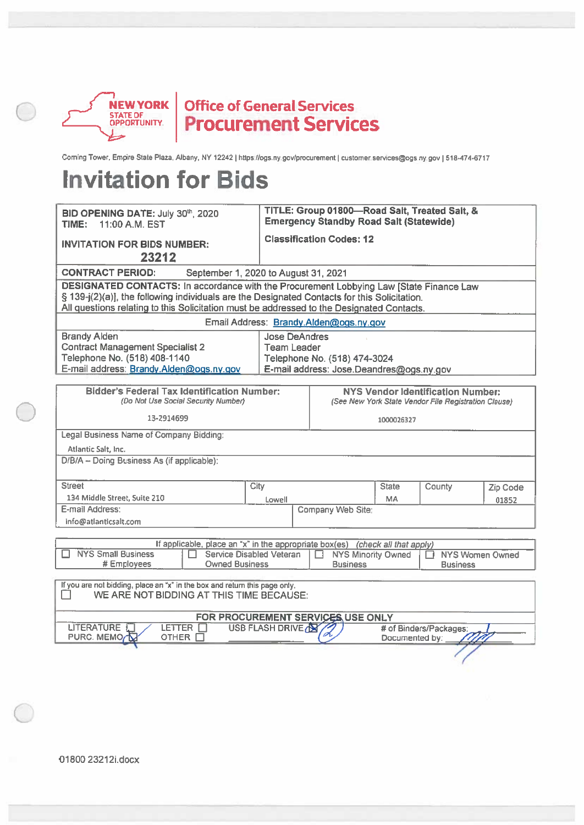

Corning Tower, Empire State Plaza, Albany, NY 12242 | https://ogs.ny.gov/procurement | customer.services@ogs.ny.gov | 518-474-6717

| BID OPENING DATE: July 30th, 2020<br>11:00 A.M. EST<br>TIME:                                                                                                                                                                                                                                      |                                            | TITLE: Group 01800-Road Salt, Treated Salt, &<br><b>Emergency Standby Road Salt (Statewide)</b>  |                |                        |          |  |  |  |
|---------------------------------------------------------------------------------------------------------------------------------------------------------------------------------------------------------------------------------------------------------------------------------------------------|--------------------------------------------|--------------------------------------------------------------------------------------------------|----------------|------------------------|----------|--|--|--|
| <b>INVITATION FOR BIDS NUMBER:</b><br>23212                                                                                                                                                                                                                                                       |                                            | <b>Classification Codes: 12</b>                                                                  |                |                        |          |  |  |  |
| <b>CONTRACT PERIOD:</b><br>September 1, 2020 to August 31, 2021                                                                                                                                                                                                                                   |                                            |                                                                                                  |                |                        |          |  |  |  |
| DESIGNATED CONTACTS: In accordance with the Procurement Lobbying Law [State Finance Law<br>§ 139-j(2)(a)], the following individuals are the Designated Contacts for this Solicitation.<br>All questions relating to this Solicitation must be addressed to the Designated Contacts.              |                                            |                                                                                                  |                |                        |          |  |  |  |
|                                                                                                                                                                                                                                                                                                   |                                            | Email Address: Brandy.Alden@ogs.ny.gov                                                           |                |                        |          |  |  |  |
| <b>Brandy Alden</b><br><b>Contract Management Specialist 2</b><br>Telephone No. (518) 408-1140<br>E-mail address: Brandy.Alden@ogs.ny.gov                                                                                                                                                         | <b>Jose DeAndres</b><br><b>Team Leader</b> | Telephone No. (518) 474-3024<br>E-mail address: Jose.Deandres@ogs.ny.gov                         |                |                        |          |  |  |  |
| <b>Bidder's Federal Tax Identification Number:</b><br>(Do Not Use Social Security Number)                                                                                                                                                                                                         |                                            | <b>NYS Vendor Identification Number:</b><br>(See New York State Vendor File Registration Clause) |                |                        |          |  |  |  |
| 13-2914699                                                                                                                                                                                                                                                                                        |                                            | 1000026327                                                                                       |                |                        |          |  |  |  |
| Legal Business Name of Company Bidding:                                                                                                                                                                                                                                                           |                                            |                                                                                                  |                |                        |          |  |  |  |
| Atlantic Salt, Inc.                                                                                                                                                                                                                                                                               |                                            |                                                                                                  |                |                        |          |  |  |  |
| D/B/A - Doing Business As (if applicable):                                                                                                                                                                                                                                                        |                                            |                                                                                                  |                |                        |          |  |  |  |
| <b>Street</b>                                                                                                                                                                                                                                                                                     | City                                       |                                                                                                  | <b>State</b>   | County                 | Zip Code |  |  |  |
| 134 Middle Street, Suite 210                                                                                                                                                                                                                                                                      | Lowell                                     |                                                                                                  | <b>MA</b>      |                        | 01852    |  |  |  |
| E-mail Address:<br>info@atlanticsalt.com                                                                                                                                                                                                                                                          |                                            | Company Web Site:                                                                                |                |                        |          |  |  |  |
| If applicable, place an "x" in the appropriate box(es) (check all that apply)<br><b>NYS Small Business</b><br>Service Disabled Veteran<br><b>NYS Minority Owned</b><br><b>NYS Women Owned</b><br>I T<br>$\Box$<br>H<br><b>Owned Business</b><br># Employees<br><b>Business</b><br><b>Business</b> |                                            |                                                                                                  |                |                        |          |  |  |  |
| If you are not bidding, place an "x" in the box and return this page only.<br>WE ARE NOT BIDDING AT THIS TIME BECAUSE:                                                                                                                                                                            |                                            |                                                                                                  |                |                        |          |  |  |  |
|                                                                                                                                                                                                                                                                                                   |                                            | FOR PROCUREMENT SERVICES USE ONLY                                                                |                |                        |          |  |  |  |
| <b>LITERATURE</b><br>LETTER [<br>PURC. MEMO <sub>/</sub><br>OTHER $\Box$                                                                                                                                                                                                                          | USB FLASH DRIVE                            |                                                                                                  | Documented by: | # of Binders/Packages: |          |  |  |  |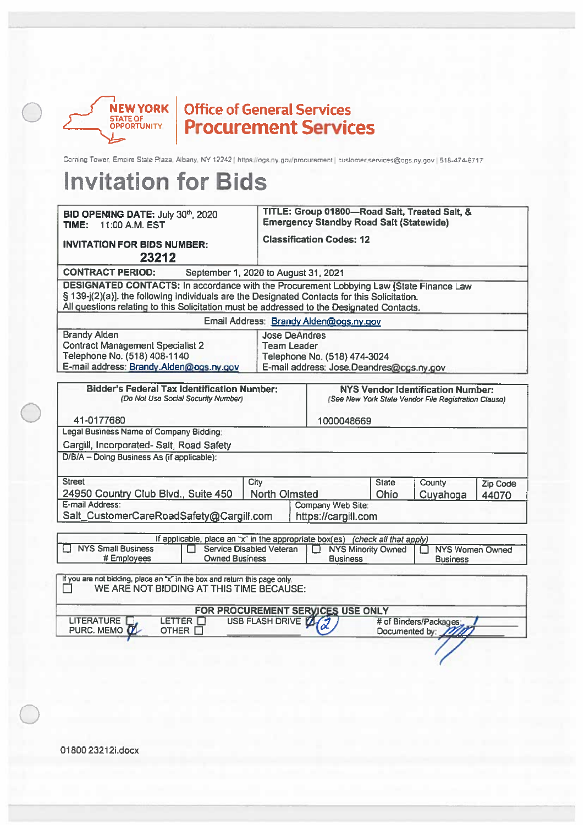

# **NEW YORK | Office of General Services**<br> **Procurement Services**

Coming Tower, Empire State Plaza, Albany, NY 12242 | https://ogs.ny.gov/procurement | customer.services@ogs.ny.gov | 518-474-6717

| BID OPENING DATE: July 30th, 2020<br>11:00 A.M. EST<br>TIME:                                                                                                                                                                                                                         |                          | <b>Emergency Standby Road Salt (Statewide)</b>                                                                         |                                              |                | TITLE: Group 01800-Road Salt, Treated Salt, &                                                    |          |
|--------------------------------------------------------------------------------------------------------------------------------------------------------------------------------------------------------------------------------------------------------------------------------------|--------------------------|------------------------------------------------------------------------------------------------------------------------|----------------------------------------------|----------------|--------------------------------------------------------------------------------------------------|----------|
| <b>INVITATION FOR BIDS NUMBER:</b><br>23212                                                                                                                                                                                                                                          |                          | <b>Classification Codes: 12</b>                                                                                        |                                              |                |                                                                                                  |          |
| <b>CONTRACT PERIOD:</b><br>September 1, 2020 to August 31, 2021                                                                                                                                                                                                                      |                          |                                                                                                                        |                                              |                |                                                                                                  |          |
| DESIGNATED CONTACTS: In accordance with the Procurement Lobbying Law [State Finance Law<br>§ 139-j(2)(a)], the following individuals are the Designated Contacts for this Solicitation.<br>All questions relating to this Solicitation must be addressed to the Designated Contacts. |                          |                                                                                                                        |                                              |                |                                                                                                  |          |
| Email Address: Brandy Alden@ogs.ny.gov                                                                                                                                                                                                                                               |                          |                                                                                                                        |                                              |                |                                                                                                  |          |
| <b>Brandy Alden</b><br><b>Contract Management Specialist 2</b><br>Telephone No. (518) 408-1140<br>E-mail address: Brandy.Alden@ogs.ny.gov                                                                                                                                            |                          | <b>Jose DeAndres</b><br><b>Team Leader</b><br>Telephone No. (518) 474-3024<br>E-mail address: Jose Deandres@ogs.ny.gov |                                              |                |                                                                                                  |          |
| <b>Bidder's Federal Tax Identification Number:</b><br>(Do Not Use Social Security Number)<br>41-0177680                                                                                                                                                                              |                          |                                                                                                                        | 1000048669                                   |                | <b>NYS Vendor Identification Number:</b><br>(See New York State Vendor File Registration Clause) |          |
| Legal Business Name of Company Bidding:                                                                                                                                                                                                                                              |                          |                                                                                                                        |                                              |                |                                                                                                  |          |
| Cargill, Incorporated-Salt, Road Safety                                                                                                                                                                                                                                              |                          |                                                                                                                        |                                              |                |                                                                                                  |          |
| D/B/A - Doing Business As (if applicable):                                                                                                                                                                                                                                           |                          |                                                                                                                        |                                              |                |                                                                                                  |          |
| <b>Street</b>                                                                                                                                                                                                                                                                        | City                     |                                                                                                                        |                                              | <b>State</b>   | County                                                                                           | Zip Code |
| 24950 Country Club Blvd., Suite 450                                                                                                                                                                                                                                                  | <b>North Olmsted</b>     |                                                                                                                        |                                              | Ohio           | Cuyahoga                                                                                         | 44070    |
| E-mail Address:<br>Salt_CustomerCareRoadSafety@Cargill.com                                                                                                                                                                                                                           |                          | Company Web Site:<br>https://cargill.com                                                                               |                                              |                |                                                                                                  |          |
| If applicable, place an "x" in the appropriate box(es) (check all that apply)                                                                                                                                                                                                        |                          |                                                                                                                        |                                              |                |                                                                                                  |          |
| <b>NYS Small Business</b><br>Service Disabled Veteran<br># Employees<br><b>Owned Business</b>                                                                                                                                                                                        |                          |                                                                                                                        | <b>NYS Minority Owned</b><br><b>Business</b> |                | <b>NYS Women Owned</b><br>П<br><b>Business</b>                                                   |          |
| If you are not bidding, place an "x" in the box and return this page only.<br>WE ARE NOT BIDDING AT THIS TIME BECAUSE:                                                                                                                                                               |                          |                                                                                                                        |                                              |                |                                                                                                  |          |
| FOR PROCUREMENT SERVICES USE ONLY                                                                                                                                                                                                                                                    |                          |                                                                                                                        |                                              |                |                                                                                                  |          |
| LETTER <sup>[1]</sup><br><b>LITERATURE</b><br>PURC. MEMO <b>TI</b><br>OTHER □                                                                                                                                                                                                        | USB FLASH DRIVE <b>Z</b> |                                                                                                                        |                                              | Documented by: | # of Binders/Packages;                                                                           |          |
|                                                                                                                                                                                                                                                                                      |                          |                                                                                                                        |                                              |                |                                                                                                  |          |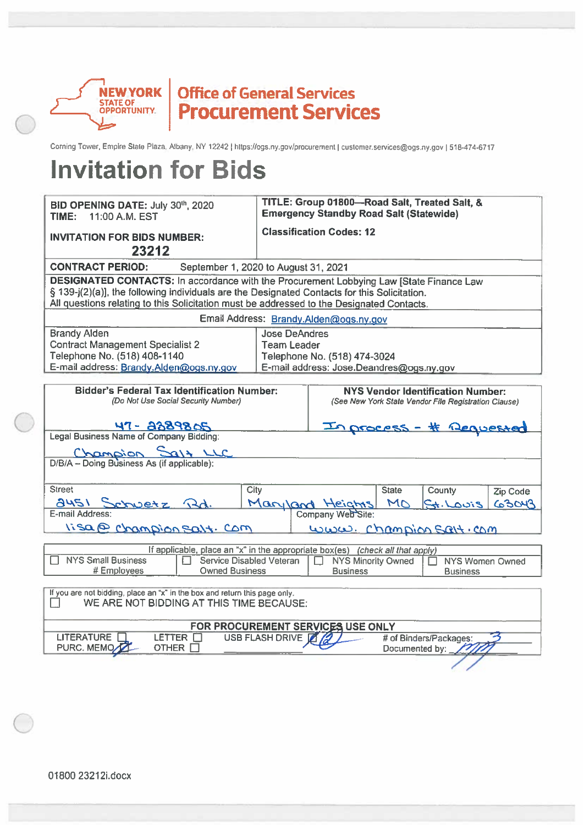

## Office of General Services<br>Procurement Services

Corning Tower, Empire State Plaza, Albany, NY 12242 | https://ogs.ny.gov/procurement | customer.services@ogs.ny.gov | 518-474-6717

| BID OPENING DATE: July 30th, 2020<br>TIME:<br>11:00 A.M. EST                                                                                                                                                                                                                                | TITLE: Group 01800-Road Salt, Treated Salt, &<br><b>Emergency Standby Road Salt (Statewide)</b>                        |  |  |  |  |  |  |  |  |
|---------------------------------------------------------------------------------------------------------------------------------------------------------------------------------------------------------------------------------------------------------------------------------------------|------------------------------------------------------------------------------------------------------------------------|--|--|--|--|--|--|--|--|
| <b>INVITATION FOR BIDS NUMBER:</b><br>23212                                                                                                                                                                                                                                                 | <b>Classification Codes: 12</b>                                                                                        |  |  |  |  |  |  |  |  |
| <b>CONTRACT PERIOD:</b><br>September 1, 2020 to August 31, 2021                                                                                                                                                                                                                             |                                                                                                                        |  |  |  |  |  |  |  |  |
| <b>DESIGNATED CONTACTS:</b> In accordance with the Procurement Lobbying Law [State Finance Law<br>§ 139-j(2)(a)], the following individuals are the Designated Contacts for this Solicitation.<br>All questions relating to this Solicitation must be addressed to the Designated Contacts. |                                                                                                                        |  |  |  |  |  |  |  |  |
|                                                                                                                                                                                                                                                                                             | Email Address: Brandy.Alden@ogs.ny.gov                                                                                 |  |  |  |  |  |  |  |  |
| <b>Brandy Alden</b><br><b>Contract Management Specialist 2</b><br>Telephone No. (518) 408-1140<br>E-mail address: Brandy.Alden@ogs.ny.gov                                                                                                                                                   | <b>Jose DeAndres</b><br><b>Team Leader</b><br>Telephone No. (518) 474-3024<br>E-mail address: Jose.Deandres@ogs.ny.gov |  |  |  |  |  |  |  |  |
| <b>Bidder's Federal Tax Identification Number:</b><br>(Do Not Use Social Security Number)                                                                                                                                                                                                   | <b>NYS Vendor Identification Number:</b><br>(See New York State Vendor File Registration Clause)                       |  |  |  |  |  |  |  |  |
| 47- 2289805                                                                                                                                                                                                                                                                                 | In process - # Requested                                                                                               |  |  |  |  |  |  |  |  |
| Legal Business Name of Company Bidding:                                                                                                                                                                                                                                                     |                                                                                                                        |  |  |  |  |  |  |  |  |
| D/B/A - Doing Business As (if applicable):                                                                                                                                                                                                                                                  |                                                                                                                        |  |  |  |  |  |  |  |  |
|                                                                                                                                                                                                                                                                                             |                                                                                                                        |  |  |  |  |  |  |  |  |
| <b>Street</b><br>City                                                                                                                                                                                                                                                                       | <b>State</b><br>County<br>Zip Code                                                                                     |  |  |  |  |  |  |  |  |
| 2451 Schwetz Rd.                                                                                                                                                                                                                                                                            | Maryland Heights<br>MO<br>63043<br>$2i$ Cal. $+$                                                                       |  |  |  |  |  |  |  |  |
| E-mail Address:                                                                                                                                                                                                                                                                             | Company Web Site:                                                                                                      |  |  |  |  |  |  |  |  |
| lisa@ Champion Salt. Com                                                                                                                                                                                                                                                                    | www. Champion Salt.com                                                                                                 |  |  |  |  |  |  |  |  |
|                                                                                                                                                                                                                                                                                             | If applicable, place an "x" in the appropriate box(es) (check all that apply)                                          |  |  |  |  |  |  |  |  |
| <b>NYS Small Business</b><br>Service Disabled Veteran<br># Employees<br><b>Owned Business</b>                                                                                                                                                                                               | <b>NYS Minority Owned</b><br><b>NYS Women Owned</b><br><b>Business</b><br><b>Business</b>                              |  |  |  |  |  |  |  |  |
| If you are not bidding, place an "x" in the box and return this page only.<br>WE ARE NOT BIDDING AT THIS TIME BECAUSE:                                                                                                                                                                      |                                                                                                                        |  |  |  |  |  |  |  |  |
|                                                                                                                                                                                                                                                                                             | FOR PROCUREMENT SERVICES USE ONLY                                                                                      |  |  |  |  |  |  |  |  |
| <b>LITERATURE</b><br>LETTER <sup>1</sup><br>PURC. MEMC<br><b>OTHER</b>                                                                                                                                                                                                                      | USB FLASH DRIVE<br># of Binders/Packages:<br>Documented by: $\overline{\phantom{a}}$                                   |  |  |  |  |  |  |  |  |
|                                                                                                                                                                                                                                                                                             |                                                                                                                        |  |  |  |  |  |  |  |  |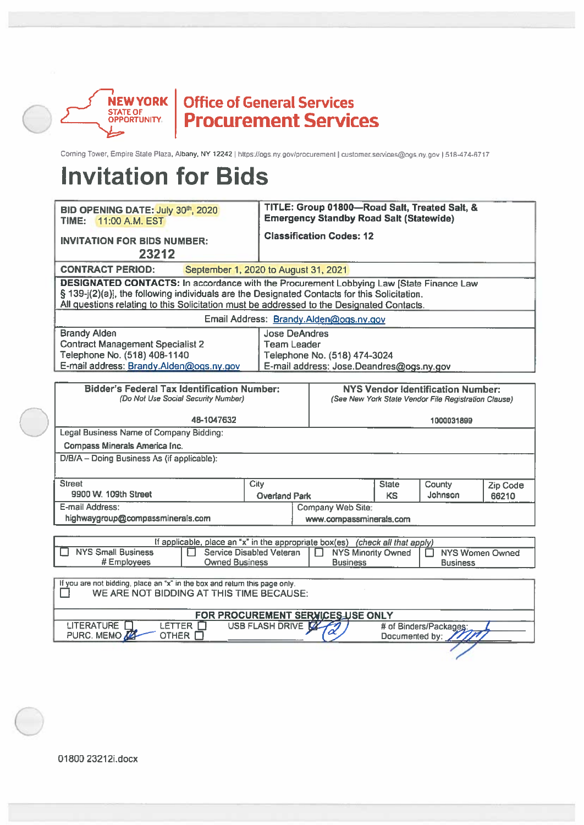

## Office of General Services<br>Procurement Services

Corning Tower, Empire State Plaza, Albany, NY 12242 | https://ogs.ny.gov/procurement | customer.services@ogs.ny.gov | 518-474-6717

## **Invitation for Bids**

| BID OPENING DATE: July 30th, 2020<br>TIME:<br>11:00 A.M. EST                                                                                                                                                                                                                         |                                                                               |                                                                                                  | TITLE: Group 01800-Road Salt, Treated Salt, &<br><b>Emergency Standby Road Salt (Statewide)</b> |                                                     |              |                                               |          |  |  |
|--------------------------------------------------------------------------------------------------------------------------------------------------------------------------------------------------------------------------------------------------------------------------------------|-------------------------------------------------------------------------------|--------------------------------------------------------------------------------------------------|-------------------------------------------------------------------------------------------------|-----------------------------------------------------|--------------|-----------------------------------------------|----------|--|--|
| <b>Classification Codes: 12</b><br><b>INVITATION FOR BIDS NUMBER:</b><br>23212                                                                                                                                                                                                       |                                                                               |                                                                                                  |                                                                                                 |                                                     |              |                                               |          |  |  |
| <b>CONTRACT PERIOD:</b><br>September 1, 2020 to August 31, 2021                                                                                                                                                                                                                      |                                                                               |                                                                                                  |                                                                                                 |                                                     |              |                                               |          |  |  |
| DESIGNATED CONTACTS: In accordance with the Procurement Lobbying Law [State Finance Law<br>§ 139-j(2)(a)], the following individuals are the Designated Contacts for this Solicitation.<br>All questions relating to this Solicitation must be addressed to the Designated Contacts. |                                                                               |                                                                                                  |                                                                                                 |                                                     |              |                                               |          |  |  |
|                                                                                                                                                                                                                                                                                      |                                                                               |                                                                                                  |                                                                                                 | Email Address: Brandy.Alden@ogs.ny.gov              |              |                                               |          |  |  |
| <b>Brandy Alden</b><br><b>Contract Management Specialist 2</b><br>Telephone No. (518) 408-1140<br>E-mail address: Brandy.Alden@ogs.ny.gov                                                                                                                                            | <b>Jose DeAndres</b><br><b>Team Leader</b>                                    |                                                                                                  | Telephone No. (518) 474-3024<br>E-mail address: Jose.Deandres@ogs.ny.gov                        |                                                     |              |                                               |          |  |  |
| <b>Bidder's Federal Tax Identification Number:</b><br>(Do Not Use Social Security Number)                                                                                                                                                                                            |                                                                               | <b>NYS Vendor Identification Number:</b><br>(See New York State Vendor File Registration Clause) |                                                                                                 |                                                     |              |                                               |          |  |  |
|                                                                                                                                                                                                                                                                                      | 48-1047632                                                                    |                                                                                                  |                                                                                                 |                                                     |              | 1000031899                                    |          |  |  |
| Legal Business Name of Company Bidding:                                                                                                                                                                                                                                              |                                                                               |                                                                                                  |                                                                                                 |                                                     |              |                                               |          |  |  |
| Compass Minerals America Inc.                                                                                                                                                                                                                                                        |                                                                               |                                                                                                  |                                                                                                 |                                                     |              |                                               |          |  |  |
| D/B/A - Doing Business As (if applicable):                                                                                                                                                                                                                                           |                                                                               |                                                                                                  |                                                                                                 |                                                     |              |                                               |          |  |  |
| <b>Street</b>                                                                                                                                                                                                                                                                        |                                                                               | City                                                                                             |                                                                                                 |                                                     | <b>State</b> | County                                        | Zip Code |  |  |
| 9900 W. 109th Street                                                                                                                                                                                                                                                                 |                                                                               | <b>Overland Park</b>                                                                             |                                                                                                 |                                                     | <b>KS</b>    | Johnson                                       | 66210    |  |  |
| E-mail Address:<br>highwaygroup@compassminerals.com                                                                                                                                                                                                                                  |                                                                               |                                                                                                  |                                                                                                 | <b>Company Web Site:</b><br>www.compassminerals.com |              |                                               |          |  |  |
|                                                                                                                                                                                                                                                                                      |                                                                               |                                                                                                  |                                                                                                 |                                                     |              |                                               |          |  |  |
|                                                                                                                                                                                                                                                                                      | If applicable, place an "x" in the appropriate box(es) (check all that apply) |                                                                                                  |                                                                                                 |                                                     |              |                                               |          |  |  |
| <b>NYS Small Business</b><br>Service Disabled Veteran<br><b>NYS Minority Owned</b><br><b>NYS Women Owned</b><br>П<br># Employees<br><b>Owned Business</b><br><b>Business</b><br><b>Business</b>                                                                                      |                                                                               |                                                                                                  |                                                                                                 |                                                     |              |                                               |          |  |  |
| If you are not bidding, place an "x" in the box and return this page only.<br>WE ARE NOT BIDDING AT THIS TIME BECAUSE:<br>- 1                                                                                                                                                        |                                                                               |                                                                                                  |                                                                                                 |                                                     |              |                                               |          |  |  |
| FOR PROCUREMENT SERVICES USE ONLY                                                                                                                                                                                                                                                    |                                                                               |                                                                                                  |                                                                                                 |                                                     |              |                                               |          |  |  |
| <b>LITERATURE</b><br>PURC. MEMO                                                                                                                                                                                                                                                      | LETTER O<br>OTHER <sub>[]</sub>                                               | USB FLASH DRIVE                                                                                  |                                                                                                 |                                                     |              | # of Binders/Packages:<br>Documented by: 1777 |          |  |  |

Documented by: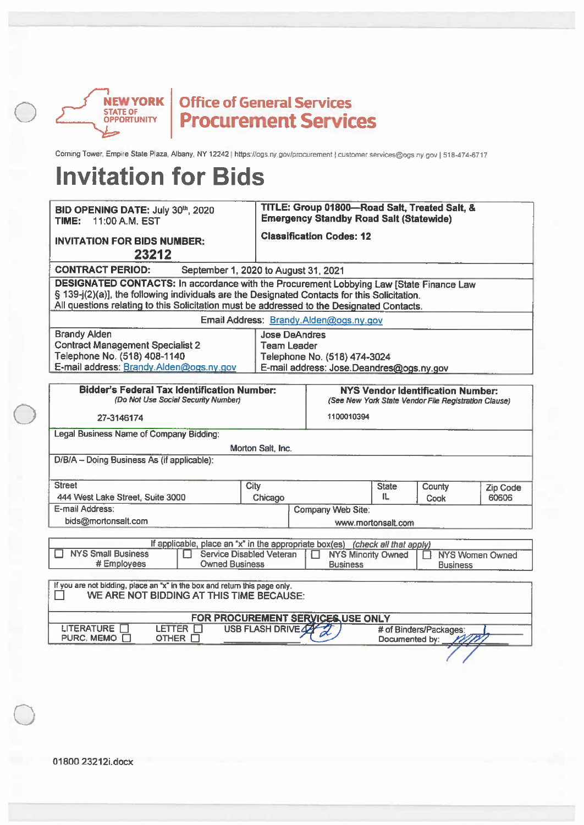

Coming Tower, Empire State Plaza, Albany, NY 12242 | https://ogs.ny.gov/procurement | customer.services@ogs.ny.gov | 518-474-6717

| BID OPENING DATE: July 30th, 2020<br>11:00 A.M. EST<br>TIME:                                                                                                                                                                                                                         |                                            | TITLE: Group 01800-Road Salt, Treated Salt, &<br><b>Emergency Standby Road Salt (Statewide)</b> |                    |                        |                        |  |  |  |  |  |
|--------------------------------------------------------------------------------------------------------------------------------------------------------------------------------------------------------------------------------------------------------------------------------------|--------------------------------------------|-------------------------------------------------------------------------------------------------|--------------------|------------------------|------------------------|--|--|--|--|--|
| <b>INVITATION FOR BIDS NUMBER:</b><br>23212                                                                                                                                                                                                                                          |                                            | <b>Classification Codes: 12</b>                                                                 |                    |                        |                        |  |  |  |  |  |
| <b>CONTRACT PERIOD:</b><br>September 1, 2020 to August 31, 2021                                                                                                                                                                                                                      |                                            |                                                                                                 |                    |                        |                        |  |  |  |  |  |
| DESIGNATED CONTACTS: In accordance with the Procurement Lobbying Law [State Finance Law<br>§ 139-j(2)(a)], the following individuals are the Designated Contacts for this Solicitation.<br>All questions relating to this Solicitation must be addressed to the Designated Contacts. |                                            |                                                                                                 |                    |                        |                        |  |  |  |  |  |
|                                                                                                                                                                                                                                                                                      |                                            | Email Address: Brandy Alden@ogs.ny.gov                                                          |                    |                        |                        |  |  |  |  |  |
| <b>Brandy Alden</b><br><b>Contract Management Specialist 2</b><br>Telephone No. (518) 408-1140<br>E-mail address: Brandy.Alden@ogs.ny.gov                                                                                                                                            | <b>Jose DeAndres</b><br><b>Team Leader</b> | Telephone No. (518) 474-3024<br>E-mail address: Jose.Deandres@ogs.ny.gov                        |                    |                        |                        |  |  |  |  |  |
| <b>Bidder's Federal Tax Identification Number:</b><br>(Do Not Use Social Security Number)                                                                                                                                                                                            |                                            | NYS Vendor Identification Number:<br>(See New York State Vendor File Registration Clause)       |                    |                        |                        |  |  |  |  |  |
| 27-3146174                                                                                                                                                                                                                                                                           |                                            | 1100010394                                                                                      |                    |                        |                        |  |  |  |  |  |
| <b>Legal Business Name of Company Bidding:</b>                                                                                                                                                                                                                                       |                                            |                                                                                                 |                    |                        |                        |  |  |  |  |  |
|                                                                                                                                                                                                                                                                                      | Morton Salt, Inc.                          |                                                                                                 |                    |                        |                        |  |  |  |  |  |
| D/B/A - Doing Business As (if applicable):                                                                                                                                                                                                                                           |                                            |                                                                                                 |                    |                        |                        |  |  |  |  |  |
| <b>Street</b>                                                                                                                                                                                                                                                                        | City                                       |                                                                                                 | <b>State</b>       | County                 | Zip Code               |  |  |  |  |  |
| 444 West Lake Street, Suite 3000                                                                                                                                                                                                                                                     | Chicago                                    |                                                                                                 | 11.                | <b>Cook</b>            | 60606                  |  |  |  |  |  |
| E-mail Address:                                                                                                                                                                                                                                                                      |                                            | <b>Company Web Site:</b>                                                                        |                    |                        |                        |  |  |  |  |  |
| bids@mortonsalt.com                                                                                                                                                                                                                                                                  |                                            |                                                                                                 | www.mortonsalt.com |                        |                        |  |  |  |  |  |
| If applicable, place an "x" in the appropriate box(es) (check all that apply)<br><b>NYS Small Business</b><br><b>Service Disabled Veteran</b><br>П<br># Employees<br><b>Owned Business</b>                                                                                           |                                            | <b>NYS Minority Owned</b><br><b>Business</b>                                                    |                    | П<br><b>Business</b>   | <b>NYS Women Owned</b> |  |  |  |  |  |
| If you are not bidding, place an "x" in the box and return this page only.<br>WE ARE NOT BIDDING AT THIS TIME BECAUSE:                                                                                                                                                               |                                            |                                                                                                 |                    |                        |                        |  |  |  |  |  |
|                                                                                                                                                                                                                                                                                      |                                            | FOR PROCUREMENT SERVICES USE ONLY                                                               |                    |                        |                        |  |  |  |  |  |
| LITERATURE <b>N</b><br>LETTER $\Box$<br>PURC. MEMO □<br>OTHER <sup>1</sup>                                                                                                                                                                                                           | <b>USB FLASH DRIVE 42</b>                  |                                                                                                 | Documented by:     | # of Binders/Packages: |                        |  |  |  |  |  |
|                                                                                                                                                                                                                                                                                      |                                            |                                                                                                 |                    |                        |                        |  |  |  |  |  |
|                                                                                                                                                                                                                                                                                      |                                            |                                                                                                 |                    |                        |                        |  |  |  |  |  |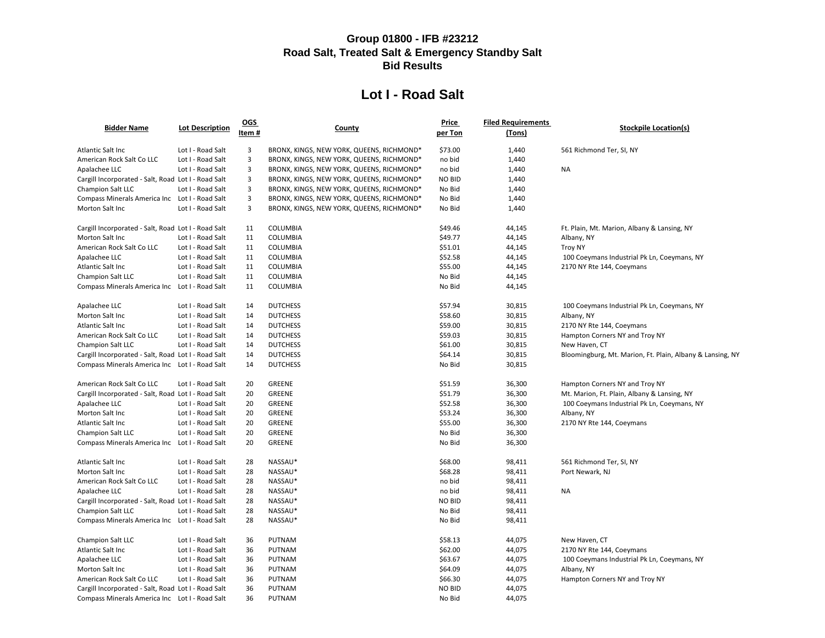|                                                     |                        | $OGS$ |                                           | <u>Price</u>  | <b>Filed Requirements</b> |                                    |
|-----------------------------------------------------|------------------------|-------|-------------------------------------------|---------------|---------------------------|------------------------------------|
| <b>Bidder Name</b>                                  | <b>Lot Description</b> | Item# | <b>County</b>                             | per Ton       | (Tons)                    | <b>Stockpile Loc</b>               |
| Atlantic Salt Inc                                   | Lot I - Road Salt      | 3     | BRONX, KINGS, NEW YORK, QUEENS, RICHMOND* | \$73.00       | 1,440                     | 561 Richmond Ter, SI, NY           |
| American Rock Salt Co LLC                           | Lot I - Road Salt      | 3     | BRONX, KINGS, NEW YORK, QUEENS, RICHMOND* | no bid        | 1,440                     |                                    |
| Apalachee LLC                                       | Lot I - Road Salt      | 3     | BRONX, KINGS, NEW YORK, QUEENS, RICHMOND* | no bid        | 1,440                     | <b>NA</b>                          |
| Cargill Incorporated - Salt, Road Lot I - Road Salt |                        | 3     | BRONX, KINGS, NEW YORK, QUEENS, RICHMOND* | <b>NO BID</b> | 1,440                     |                                    |
| Champion Salt LLC                                   | Lot I - Road Salt      | 3     | BRONX, KINGS, NEW YORK, QUEENS, RICHMOND* | No Bid        | 1,440                     |                                    |
| Compass Minerals America Inc Lot I - Road Salt      |                        | 3     | BRONX, KINGS, NEW YORK, QUEENS, RICHMOND* | No Bid        | 1,440                     |                                    |
| Morton Salt Inc                                     | Lot I - Road Salt      | 3     | BRONX, KINGS, NEW YORK, QUEENS, RICHMOND* | No Bid        | 1,440                     |                                    |
| Cargill Incorporated - Salt, Road Lot I - Road Salt |                        | 11    | COLUMBIA                                  | \$49.46       | 44,145                    | Ft. Plain, Mt. Marion, Albany & La |
| Morton Salt Inc                                     | Lot I - Road Salt      | 11    | <b>COLUMBIA</b>                           | \$49.77       | 44,145                    | Albany, NY                         |
| American Rock Salt Co LLC                           | Lot I - Road Salt      | 11    | COLUMBIA                                  | \$51.01       | 44,145                    | <b>Troy NY</b>                     |
| Apalachee LLC                                       | Lot I - Road Salt      | 11    | COLUMBIA                                  | \$52.58       | 44,145                    | 100 Coeymans Industrial Pk Ln, C   |
| Atlantic Salt Inc                                   | Lot I - Road Salt      | 11    | <b>COLUMBIA</b>                           | \$55.00       | 44,145                    | 2170 NY Rte 144, Coeymans          |
| Champion Salt LLC                                   | Lot I - Road Salt      | 11    | COLUMBIA                                  | No Bid        | 44,145                    |                                    |
| Compass Minerals America Inc  Lot I - Road Salt     |                        | 11    | <b>COLUMBIA</b>                           | No Bid        | 44,145                    |                                    |
| Apalachee LLC                                       | Lot I - Road Salt      | 14    | <b>DUTCHESS</b>                           | \$57.94       | 30,815                    | 100 Coeymans Industrial Pk Ln, C   |
| Morton Salt Inc                                     | Lot I - Road Salt      | 14    | <b>DUTCHESS</b>                           | \$58.60       | 30,815                    | Albany, NY                         |
| Atlantic Salt Inc                                   | Lot I - Road Salt      | 14    | <b>DUTCHESS</b>                           | \$59.00       | 30,815                    | 2170 NY Rte 144, Coeymans          |
| American Rock Salt Co LLC                           | Lot I - Road Salt      | 14    | <b>DUTCHESS</b>                           | \$59.03       | 30,815                    | Hampton Corners NY and Troy NY     |
| Champion Salt LLC                                   | Lot I - Road Salt      | 14    | <b>DUTCHESS</b>                           | \$61.00       | 30,815                    | New Haven, CT                      |
| Cargill Incorporated - Salt, Road Lot I - Road Salt |                        | 14    | <b>DUTCHESS</b>                           | \$64.14       | 30,815                    | Bloomingburg, Mt. Marion, Ft. Pla  |
| Compass Minerals America Inc Lot I - Road Salt      |                        | 14    | <b>DUTCHESS</b>                           | No Bid        | 30,815                    |                                    |
| American Rock Salt Co LLC                           | Lot I - Road Salt      | 20    | <b>GREENE</b>                             | \$51.59       | 36,300                    | Hampton Corners NY and Troy NY     |
| Cargill Incorporated - Salt, Road Lot I - Road Salt |                        | 20    | GREENE                                    | \$51.79       | 36,300                    | Mt. Marion, Ft. Plain, Albany & La |
| Apalachee LLC                                       | Lot I - Road Salt      | 20    | GREENE                                    | \$52.58       | 36,300                    | 100 Coeymans Industrial Pk Ln, C   |
| Morton Salt Inc                                     | Lot I - Road Salt      | 20    | GREENE                                    | \$53.24       | 36,300                    | Albany, NY                         |
| Atlantic Salt Inc                                   | Lot I - Road Salt      | 20    | <b>GREENE</b>                             | \$55.00       | 36,300                    | 2170 NY Rte 144, Coeymans          |
| <b>Champion Salt LLC</b>                            | Lot I - Road Salt      | 20    | GREENE                                    | No Bid        | 36,300                    |                                    |
| Compass Minerals America Inc  Lot I - Road Salt     |                        | 20    | GREENE                                    | No Bid        | 36,300                    |                                    |
| <b>Atlantic Salt Inc</b>                            | Lot I - Road Salt      | 28    | NASSAU*                                   | \$68.00       | 98,411                    | 561 Richmond Ter, SI, NY           |
| Morton Salt Inc                                     | Lot I - Road Salt      | 28    | NASSAU*                                   | \$68.28       | 98,411                    | Port Newark, NJ                    |
| American Rock Salt Co LLC                           | Lot I - Road Salt      | 28    | NASSAU*                                   | no bid        | 98,411                    |                                    |
| Apalachee LLC                                       | Lot I - Road Salt      | 28    | NASSAU*                                   | no bid        | 98,411                    | <b>NA</b>                          |
| Cargill Incorporated - Salt, Road Lot I - Road Salt |                        | 28    | NASSAU*                                   | <b>NO BID</b> | 98,411                    |                                    |
| Champion Salt LLC                                   | Lot I - Road Salt      | 28    | NASSAU*                                   | No Bid        | 98,411                    |                                    |
| Compass Minerals America Inc  Lot I - Road Salt     |                        | 28    | NASSAU*                                   | No Bid        | 98,411                    |                                    |
| Champion Salt LLC                                   | Lot I - Road Salt      | 36    | <b>PUTNAM</b>                             | \$58.13       | 44,075                    | New Haven, CT                      |
| Atlantic Salt Inc                                   | Lot I - Road Salt      | 36    | <b>PUTNAM</b>                             | \$62.00       | 44,075                    | 2170 NY Rte 144, Coeymans          |
| Apalachee LLC                                       | Lot I - Road Salt      | 36    | <b>PUTNAM</b>                             | \$63.67       | 44,075                    | 100 Coeymans Industrial Pk Ln, C   |
| Morton Salt Inc                                     | Lot I - Road Salt      | 36    | <b>PUTNAM</b>                             | \$64.09       | 44,075                    | Albany, NY                         |
| American Rock Salt Co LLC                           | Lot I - Road Salt      | 36    | <b>PUTNAM</b>                             | \$66.30       | 44,075                    | Hampton Corners NY and Troy NY     |
| Cargill Incorporated - Salt, Road Lot I - Road Salt |                        | 36    | <b>PUTNAM</b>                             | <b>NO BID</b> | 44,075                    |                                    |
| Compass Minerals America Inc Lot I - Road Salt      |                        | 36    | <b>PUTNAM</b>                             | No Bid        | 44,075                    |                                    |

#### **Stockpile Location(s)**

Aarion, Albany & Lansing, NY

Apalachei Extend Coeymans, NY

Apalachei I Pk Ln, Coeymans, NY

Mt. Marion, Ft. Plain, Albany & Lansing, NY

**Amers NY and Troy NY** . Plain, Albany & Lansing, NY Apalachei Lucc Lot I Coeymans, NY

Apalachei Extend Coeymans, NY

#### **Group 01800 - IFB #23212 Road Salt, Treated Salt & Emergency Standby Salt Bid Results**

### **Lot I - Road Salt**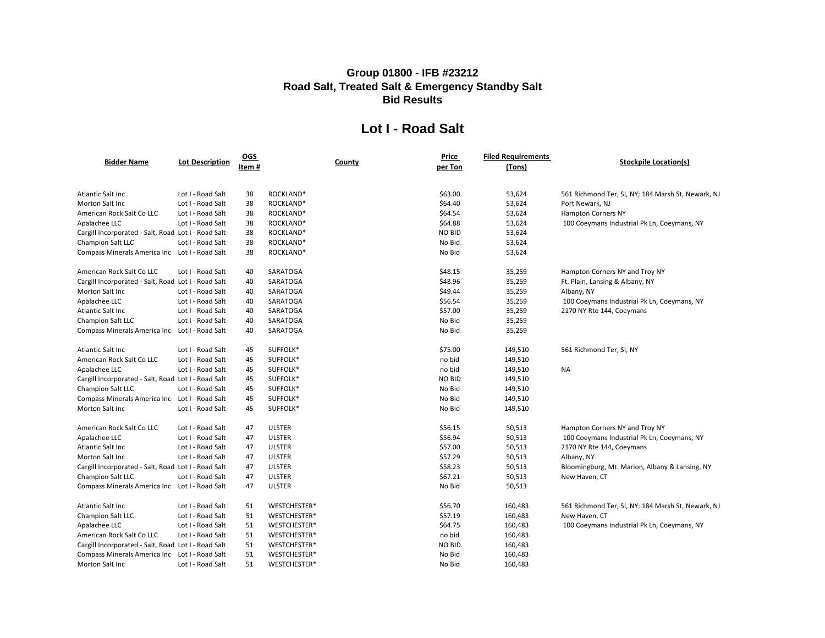### **Lot I - Road Salt**

| <b>Bidder Name</b>                                  | <b>Lot Description</b> | $OGS$ |                 | <b>Price</b>  | <b>Filed Requirements</b> | Stockpile                       |
|-----------------------------------------------------|------------------------|-------|-----------------|---------------|---------------------------|---------------------------------|
|                                                     |                        | Item# | <b>County</b>   | per Ton       | (Tons)                    |                                 |
|                                                     |                        |       |                 |               |                           |                                 |
| Atlantic Salt Inc                                   | Lot I - Road Salt      | 38    | ROCKLAND*       | \$63.00       | 53,624                    | 561 Richmond Ter, SI, NY; 184   |
| Morton Salt Inc                                     | Lot I - Road Salt      | 38    | ROCKLAND*       | \$64.40       | 53,624                    | Port Newark, NJ                 |
| American Rock Salt Co LLC                           | Lot I - Road Salt      | 38    | ROCKLAND*       | \$64.54       | 53,624                    | <b>Hampton Corners NY</b>       |
| Apalachee LLC                                       | Lot I - Road Salt      | 38    | ROCKLAND*       | \$64.88       | 53,624                    | 100 Coeymans Industrial Pk Lı   |
| Cargill Incorporated - Salt, Road Lot I - Road Salt |                        | 38    | ROCKLAND*       | <b>NO BID</b> | 53,624                    |                                 |
| Champion Salt LLC                                   | Lot I - Road Salt      | 38    | ROCKLAND*       | No Bid        | 53,624                    |                                 |
| Compass Minerals America Inc  Lot I - Road Salt     |                        | 38    | ROCKLAND*       | No Bid        | 53,624                    |                                 |
| American Rock Salt Co LLC                           | Lot I - Road Salt      | 40    | SARATOGA        | \$48.15       | 35,259                    | Hampton Corners NY and Troy     |
| Cargill Incorporated - Salt, Road Lot I - Road Salt |                        | 40    | SARATOGA        | \$48.96       | 35,259                    | Ft. Plain, Lansing & Albany, NY |
| Morton Salt Inc                                     | Lot I - Road Salt      | 40    | SARATOGA        | \$49.44       | 35,259                    | Albany, NY                      |
| Apalachee LLC                                       | Lot I - Road Salt      | 40    | SARATOGA        | \$56.54       | 35,259                    | 100 Coeymans Industrial Pk Lı   |
| Atlantic Salt Inc                                   | Lot I - Road Salt      | 40    | SARATOGA        | \$57.00       | 35,259                    | 2170 NY Rte 144, Coeymans       |
| Champion Salt LLC                                   | Lot I - Road Salt      | 40    | SARATOGA        | No Bid        | 35,259                    |                                 |
| Compass Minerals America Inc  Lot I - Road Salt     |                        | 40    | <b>SARATOGA</b> | No Bid        | 35,259                    |                                 |
| Atlantic Salt Inc                                   | Lot I - Road Salt      | 45    | SUFFOLK*        | \$75.00       | 149,510                   | 561 Richmond Ter, SI, NY        |
| American Rock Salt Co LLC                           | Lot I - Road Salt      | 45    | SUFFOLK*        | no bid        | 149,510                   |                                 |
| Apalachee LLC                                       | Lot I - Road Salt      | 45    | SUFFOLK*        | no bid        | 149,510                   | NA                              |
| Cargill Incorporated - Salt, Road Lot I - Road Salt |                        | 45    | SUFFOLK*        | <b>NO BID</b> | 149,510                   |                                 |
| Champion Salt LLC                                   | Lot I - Road Salt      | 45    | SUFFOLK*        | No Bid        | 149,510                   |                                 |
| <b>Compass Minerals America Inc</b>                 | Lot I - Road Salt      | 45    | SUFFOLK*        | No Bid        | 149,510                   |                                 |
| Morton Salt Inc                                     | Lot I - Road Salt      | 45    | SUFFOLK*        | No Bid        | 149,510                   |                                 |
| American Rock Salt Co LLC                           | Lot I - Road Salt      | 47    | <b>ULSTER</b>   | \$56.15       | 50,513                    | Hampton Corners NY and Troy     |
| Apalachee LLC                                       | Lot I - Road Salt      | 47    | <b>ULSTER</b>   | \$56.94       | 50,513                    | 100 Coeymans Industrial Pk Lı   |
| Atlantic Salt Inc                                   | Lot I - Road Salt      | 47    | <b>ULSTER</b>   | \$57.00       | 50,513                    | 2170 NY Rte 144, Coeymans       |
| Morton Salt Inc                                     | Lot I - Road Salt      | 47    | <b>ULSTER</b>   | \$57.29       | 50,513                    | Albany, NY                      |
| Cargill Incorporated - Salt, Road Lot I - Road Salt |                        | 47    | <b>ULSTER</b>   | \$58.23       | 50,513                    | Bloomingburg, Mt. Marion, All   |
| Champion Salt LLC                                   | Lot I - Road Salt      | 47    | <b>ULSTER</b>   | \$67.21       | 50,513                    | New Haven, CT                   |
| <b>Compass Minerals America Inc</b>                 | Lot I - Road Salt      | 47    | <b>ULSTER</b>   | No Bid        | 50,513                    |                                 |
| Atlantic Salt Inc                                   | Lot I - Road Salt      | 51    | WESTCHESTER*    | \$56.70       | 160,483                   | 561 Richmond Ter, SI, NY; 184   |
| <b>Champion Salt LLC</b>                            | Lot I - Road Salt      | 51    | WESTCHESTER*    | \$57.19       | 160,483                   | New Haven, CT                   |
| Apalachee LLC                                       | Lot I - Road Salt      | 51    | WESTCHESTER*    | \$64.75       | 160,483                   | 100 Coeymans Industrial Pk Lı   |
| American Rock Salt Co LLC                           | Lot I - Road Salt      | 51    | WESTCHESTER*    | no bid        | 160,483                   |                                 |
| Cargill Incorporated - Salt, Road Lot I - Road Salt |                        | 51    | WESTCHESTER*    | <b>NO BID</b> | 160,483                   |                                 |
| Compass Minerals America Inc  Lot I - Road Salt     |                        | 51    | WESTCHESTER*    | No Bid        | 160,483                   |                                 |
| Morton Salt Inc                                     | Lot I - Road Salt      | 51    | WESTCHESTER*    | No Bid        | 160,483                   |                                 |

#### **Stockpile Location(s)**

d Ter, SI, NY; 184 Marsh St, Newark, NJ Is Industrial Pk Ln, Coeymans, NY

ners NY and Troy NY

Is Industrial Pk Ln, Coeymans, NY

ners NY and Troy NY Is Industrial Pk Ln, Coeymans, NY

Mt. Marion, Albany & Lansing, NY

d Ter, SI, NY; 184 Marsh St, Newark, NJ

Is Industrial Pk Ln, Coeymans, NY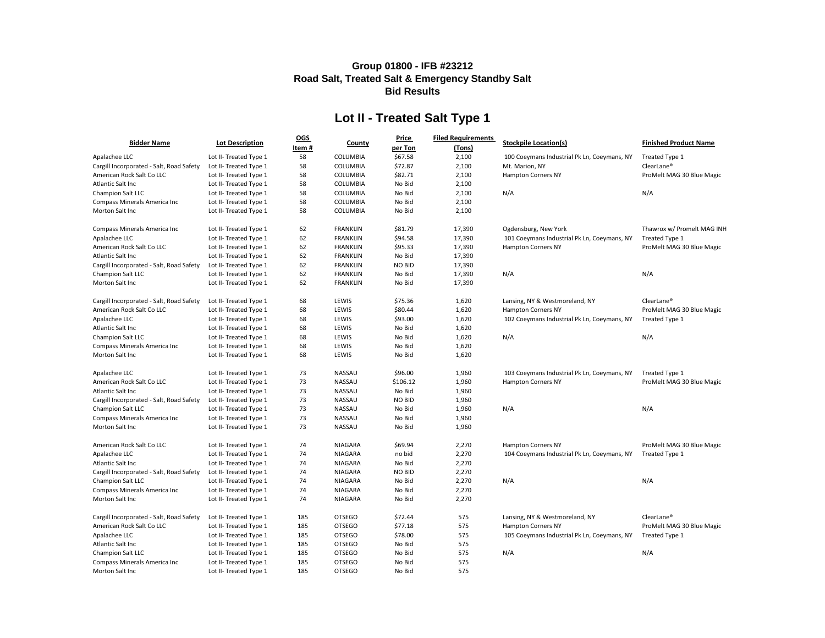| <b>Bidder Name</b>                       | <b>Lot Description</b> | <b>OGS</b> |                 | <b>Price</b>  | <b>Filed Requirements</b> | <b>Stockpile Location(s)</b>                | <b>Finished Product Name</b> |
|------------------------------------------|------------------------|------------|-----------------|---------------|---------------------------|---------------------------------------------|------------------------------|
|                                          |                        | Item#      | <b>County</b>   | per Ton       | (Tons)                    |                                             |                              |
| Apalachee LLC                            | Lot II- Treated Type 1 | 58         | COLUMBIA        | \$67.58       | 2,100                     | 100 Coeymans Industrial Pk Ln, Coeymans, NY | Treated Type 1               |
| Cargill Incorporated - Salt, Road Safety | Lot II- Treated Type 1 | 58         | COLUMBIA        | \$72.87       | 2,100                     | Mt. Marion, NY                              | ClearLane <sup>®</sup>       |
| American Rock Salt Co LLC                | Lot II- Treated Type 1 | 58         | COLUMBIA        | \$82.71       | 2,100                     | <b>Hampton Corners NY</b>                   | ProMelt MAG 30 Blue Magic    |
| Atlantic Salt Inc                        | Lot II- Treated Type 1 | 58         | COLUMBIA        | No Bid        | 2,100                     |                                             |                              |
| Champion Salt LLC                        | Lot II- Treated Type 1 | 58         | COLUMBIA        | No Bid        | 2,100                     | N/A                                         | N/A                          |
| Compass Minerals America Inc             | Lot II- Treated Type 1 | 58         | COLUMBIA        | No Bid        | 2,100                     |                                             |                              |
| Morton Salt Inc                          | Lot II- Treated Type 1 | 58         | <b>COLUMBIA</b> | No Bid        | 2,100                     |                                             |                              |
| Compass Minerals America Inc             | Lot II- Treated Type 1 | 62         | <b>FRANKLIN</b> | \$81.79       | 17,390                    | Ogdensburg, New York                        | Thawrox w/ Promelt MAG INH   |
| Apalachee LLC                            | Lot II- Treated Type 1 | 62         | <b>FRANKLIN</b> | \$94.58       | 17,390                    | 101 Coeymans Industrial Pk Ln, Coeymans, NY | Treated Type 1               |
| American Rock Salt Co LLC                | Lot II- Treated Type 1 | 62         | <b>FRANKLIN</b> | \$95.33       | 17,390                    | <b>Hampton Corners NY</b>                   | ProMelt MAG 30 Blue Magic    |
| Atlantic Salt Inc                        | Lot II- Treated Type 1 | 62         | <b>FRANKLIN</b> | No Bid        | 17,390                    |                                             |                              |
| Cargill Incorporated - Salt, Road Safety | Lot II- Treated Type 1 | 62         | <b>FRANKLIN</b> | <b>NO BID</b> | 17,390                    |                                             |                              |
| Champion Salt LLC                        | Lot II- Treated Type 1 | 62         | <b>FRANKLIN</b> | No Bid        | 17,390                    | N/A                                         | N/A                          |
| Morton Salt Inc                          | Lot II- Treated Type 1 | 62         | <b>FRANKLIN</b> | No Bid        | 17,390                    |                                             |                              |
| Cargill Incorporated - Salt, Road Safety | Lot II- Treated Type 1 | 68         | LEWIS           | \$75.36       | 1,620                     | Lansing, NY & Westmoreland, NY              | ClearLane <sup>®</sup>       |
| American Rock Salt Co LLC                | Lot II- Treated Type 1 | 68         | LEWIS           | \$80.44       | 1,620                     | <b>Hampton Corners NY</b>                   | ProMelt MAG 30 Blue Magic    |
| Apalachee LLC                            | Lot II- Treated Type 1 | 68         | LEWIS           | \$93.00       | 1,620                     | 102 Coeymans Industrial Pk Ln, Coeymans, NY | Treated Type 1               |
| Atlantic Salt Inc                        | Lot II- Treated Type 1 | 68         | LEWIS           | No Bid        | 1,620                     |                                             |                              |
| Champion Salt LLC                        | Lot II- Treated Type 1 | 68         | LEWIS           | No Bid        | 1,620                     | N/A                                         | N/A                          |
| Compass Minerals America Inc             | Lot II- Treated Type 1 | 68         | LEWIS           | No Bid        | 1,620                     |                                             |                              |
| Morton Salt Inc                          | Lot II- Treated Type 1 | 68         | LEWIS           | No Bid        | 1,620                     |                                             |                              |
| Apalachee LLC                            | Lot II- Treated Type 1 | 73         | <b>NASSAU</b>   | \$96.00       | 1,960                     | 103 Coeymans Industrial Pk Ln, Coeymans, NY | Treated Type 1               |
| American Rock Salt Co LLC                | Lot II- Treated Type 1 | 73         | <b>NASSAU</b>   | \$106.12      | 1,960                     | <b>Hampton Corners NY</b>                   | ProMelt MAG 30 Blue Magic    |
| Atlantic Salt Inc                        | Lot II- Treated Type 1 | 73         | <b>NASSAU</b>   | No Bid        | 1,960                     |                                             |                              |
| Cargill Incorporated - Salt, Road Safety | Lot II- Treated Type 1 | 73         | <b>NASSAU</b>   | <b>NO BID</b> | 1,960                     |                                             |                              |
| Champion Salt LLC                        | Lot II- Treated Type 1 | 73         | <b>NASSAU</b>   | No Bid        | 1,960                     | N/A                                         | N/A                          |
| <b>Compass Minerals America Inc</b>      | Lot II- Treated Type 1 | 73         | <b>NASSAU</b>   | No Bid        | 1,960                     |                                             |                              |
| Morton Salt Inc                          | Lot II- Treated Type 1 | 73         | <b>NASSAU</b>   | No Bid        | 1,960                     |                                             |                              |
| American Rock Salt Co LLC                | Lot II- Treated Type 1 | 74         | <b>NIAGARA</b>  | \$69.94       | 2,270                     | <b>Hampton Corners NY</b>                   | ProMelt MAG 30 Blue Magic    |
| Apalachee LLC                            | Lot II- Treated Type 1 | 74         | <b>NIAGARA</b>  | no bid        | 2,270                     | 104 Coeymans Industrial Pk Ln, Coeymans, NY | Treated Type 1               |
| Atlantic Salt Inc                        | Lot II- Treated Type 1 | 74         | <b>NIAGARA</b>  | No Bid        | 2,270                     |                                             |                              |
| Cargill Incorporated - Salt, Road Safety | Lot II- Treated Type 1 | 74         | <b>NIAGARA</b>  | <b>NO BID</b> | 2,270                     |                                             |                              |
| Champion Salt LLC                        | Lot II- Treated Type 1 | 74         | NIAGARA         | No Bid        | 2,270                     | N/A                                         | N/A                          |
| Compass Minerals America Inc             | Lot II- Treated Type 1 | 74         | <b>NIAGARA</b>  | No Bid        | 2,270                     |                                             |                              |
| Morton Salt Inc                          | Lot II- Treated Type 1 | 74         | NIAGARA         | No Bid        | 2,270                     |                                             |                              |
| Cargill Incorporated - Salt, Road Safety | Lot II- Treated Type 1 | 185        | <b>OTSEGO</b>   | \$72.44       | 575                       | Lansing, NY & Westmoreland, NY              | ClearLane <sup>®</sup>       |
| American Rock Salt Co LLC                | Lot II- Treated Type 1 | 185        | <b>OTSEGO</b>   | \$77.18       | 575                       | <b>Hampton Corners NY</b>                   | ProMelt MAG 30 Blue Magic    |
| Apalachee LLC                            | Lot II- Treated Type 1 | 185        | <b>OTSEGO</b>   | \$78.00       | 575                       | 105 Coeymans Industrial Pk Ln, Coeymans, NY | Treated Type 1               |
| Atlantic Salt Inc                        | Lot II- Treated Type 1 | 185        | <b>OTSEGO</b>   | No Bid        | 575                       |                                             |                              |
| Champion Salt LLC                        | Lot II- Treated Type 1 | 185        | <b>OTSEGO</b>   | No Bid        | 575                       | N/A                                         | N/A                          |
| Compass Minerals America Inc             | Lot II- Treated Type 1 | 185        | <b>OTSEGO</b>   | No Bid        | 575                       |                                             |                              |
| Morton Salt Inc                          | Lot II- Treated Type 1 | 185        | <b>OTSEGO</b>   | No Bid        | 575                       |                                             |                              |

## **Lot II - Treated Salt Type 1**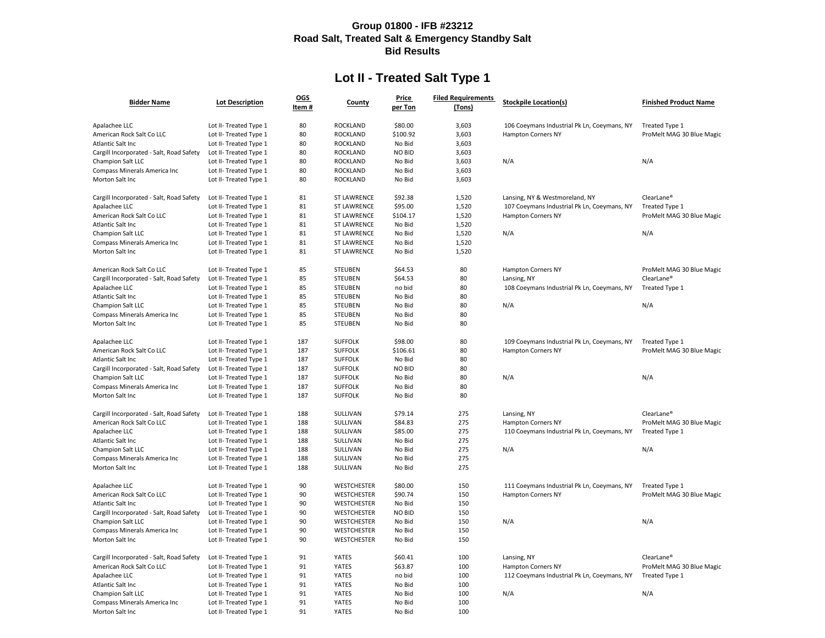## **Lot II - Treated Salt Type 1**

| <b>Bidder Name</b>                       | <b>Lot Description</b> | <u>OGS</u><br>Item $#$ | <b>County</b>      | <b>Price</b><br>per Ton | <b>Filed Requirements</b><br>(Tons) | <b>Stockpile Location(s)</b>                | <b>Finished Product Name</b> |
|------------------------------------------|------------------------|------------------------|--------------------|-------------------------|-------------------------------------|---------------------------------------------|------------------------------|
| Apalachee LLC                            | Lot II- Treated Type 1 | 80                     | ROCKLAND           | \$80.00                 | 3,603                               | 106 Coeymans Industrial Pk Ln, Coeymans, NY | Treated Type 1               |
| American Rock Salt Co LLC                | Lot II- Treated Type 1 | 80                     | <b>ROCKLAND</b>    | \$100.92                | 3,603                               | <b>Hampton Corners NY</b>                   | ProMelt MAG 30 Blue Magic    |
| Atlantic Salt Inc                        | Lot II- Treated Type 1 | 80                     | <b>ROCKLAND</b>    | No Bid                  | 3,603                               |                                             |                              |
| Cargill Incorporated - Salt, Road Safety | Lot II- Treated Type 1 | 80                     | <b>ROCKLAND</b>    | <b>NO BID</b>           | 3,603                               |                                             |                              |
| Champion Salt LLC                        | Lot II- Treated Type 1 | 80                     | <b>ROCKLAND</b>    | No Bid                  | 3,603                               | N/A                                         | N/A                          |
| <b>Compass Minerals America Inc</b>      | Lot II- Treated Type 1 | 80                     | <b>ROCKLAND</b>    | No Bid                  | 3,603                               |                                             |                              |
| Morton Salt Inc                          | Lot II- Treated Type 1 | 80                     | <b>ROCKLAND</b>    | No Bid                  | 3,603                               |                                             |                              |
| Cargill Incorporated - Salt, Road Safety | Lot II- Treated Type 1 | 81                     | <b>ST LAWRENCE</b> | \$92.38                 | 1,520                               | Lansing, NY & Westmoreland, NY              | ClearLane <sup>®</sup>       |
| Apalachee LLC                            | Lot II- Treated Type 1 | 81                     | <b>ST LAWRENCE</b> | \$95.00                 | 1,520                               | 107 Coeymans Industrial Pk Ln, Coeymans, NY | Treated Type 1               |
| American Rock Salt Co LLC                | Lot II- Treated Type 1 | 81                     | <b>ST LAWRENCE</b> | \$104.17                | 1,520                               | <b>Hampton Corners NY</b>                   | ProMelt MAG 30 Blue Magic    |
| Atlantic Salt Inc                        | Lot II- Treated Type 1 | 81                     | <b>ST LAWRENCE</b> | No Bid                  | 1,520                               |                                             |                              |
| Champion Salt LLC                        | Lot II- Treated Type 1 | 81                     | <b>ST LAWRENCE</b> | No Bid                  | 1,520                               | N/A                                         | N/A                          |
| Compass Minerals America Inc             | Lot II- Treated Type 1 | 81                     | <b>ST LAWRENCE</b> | No Bid                  | 1,520                               |                                             |                              |
| Morton Salt Inc                          | Lot II- Treated Type 1 | 81                     | <b>ST LAWRENCE</b> | No Bid                  | 1,520                               |                                             |                              |
| American Rock Salt Co LLC                | Lot II- Treated Type 1 | 85                     | <b>STEUBEN</b>     | \$64.53                 | 80                                  | <b>Hampton Corners NY</b>                   | ProMelt MAG 30 Blue Magic    |
| Cargill Incorporated - Salt, Road Safety | Lot II- Treated Type 1 | 85                     | <b>STEUBEN</b>     | \$64.53                 | 80                                  | Lansing, NY                                 | ClearLane <sup>®</sup>       |
| Apalachee LLC                            | Lot II- Treated Type 1 | 85                     | <b>STEUBEN</b>     | no bid                  | 80                                  | 108 Coeymans Industrial Pk Ln, Coeymans, NY | Treated Type 1               |
| Atlantic Salt Inc                        | Lot II- Treated Type 1 | 85                     | <b>STEUBEN</b>     | No Bid                  | 80                                  |                                             |                              |
| Champion Salt LLC                        | Lot II- Treated Type 1 | 85                     | <b>STEUBEN</b>     | No Bid                  | 80                                  | N/A                                         | N/A                          |
| Compass Minerals America Inc             | Lot II- Treated Type 1 | 85                     | <b>STEUBEN</b>     | No Bid                  | 80                                  |                                             |                              |
| Morton Salt Inc                          | Lot II- Treated Type 1 | 85                     | <b>STEUBEN</b>     | No Bid                  | 80                                  |                                             |                              |
| Apalachee LLC                            | Lot II- Treated Type 1 | 187                    | <b>SUFFOLK</b>     | \$98.00                 | 80                                  | 109 Coeymans Industrial Pk Ln, Coeymans, NY | Treated Type 1               |
| American Rock Salt Co LLC                | Lot II- Treated Type 1 | 187                    | <b>SUFFOLK</b>     | \$106.61                | 80                                  | <b>Hampton Corners NY</b>                   | ProMelt MAG 30 Blue Magic    |
| Atlantic Salt Inc                        | Lot II- Treated Type 1 | 187                    | <b>SUFFOLK</b>     | No Bid                  | 80                                  |                                             |                              |
| Cargill Incorporated - Salt, Road Safety | Lot II- Treated Type 1 | 187                    | <b>SUFFOLK</b>     | <b>NO BID</b>           | 80                                  |                                             |                              |
| <b>Champion Salt LLC</b>                 | Lot II- Treated Type 1 | 187                    | <b>SUFFOLK</b>     | No Bid                  | 80                                  | N/A                                         | N/A                          |
| Compass Minerals America Inc             | Lot II- Treated Type 1 | 187                    | <b>SUFFOLK</b>     | No Bid                  | 80                                  |                                             |                              |
| Morton Salt Inc                          | Lot II- Treated Type 1 | 187                    | <b>SUFFOLK</b>     | No Bid                  | 80                                  |                                             |                              |
| Cargill Incorporated - Salt, Road Safety | Lot II- Treated Type 1 | 188                    | SULLIVAN           | \$79.14                 | 275                                 | Lansing, NY                                 | ClearLane <sup>®</sup>       |
| American Rock Salt Co LLC                | Lot II- Treated Type 1 | 188                    | SULLIVAN           | \$84.83                 | 275                                 | <b>Hampton Corners NY</b>                   | ProMelt MAG 30 Blue Magic    |
| Apalachee LLC                            | Lot II- Treated Type 1 | 188                    | SULLIVAN           | \$85.00                 | 275                                 | 110 Coeymans Industrial Pk Ln, Coeymans, NY | Treated Type 1               |
| Atlantic Salt Inc                        | Lot II- Treated Type 1 | 188                    | SULLIVAN           | No Bid                  | 275                                 |                                             |                              |
| Champion Salt LLC                        | Lot II- Treated Type 1 | 188                    | SULLIVAN           | No Bid                  | 275                                 | N/A                                         | N/A                          |
| Compass Minerals America Inc             | Lot II- Treated Type 1 | 188                    | SULLIVAN           | No Bid                  | 275                                 |                                             |                              |
| Morton Salt Inc                          | Lot II- Treated Type 1 | 188                    | SULLIVAN           | No Bid                  | 275                                 |                                             |                              |
| Apalachee LLC                            | Lot II- Treated Type 1 | 90                     | <b>WESTCHESTER</b> | \$80.00                 | 150                                 | 111 Coeymans Industrial Pk Ln, Coeymans, NY | Treated Type 1               |
| American Rock Salt Co LLC                | Lot II- Treated Type 1 | 90                     | <b>WESTCHESTER</b> | \$90.74                 | 150                                 | <b>Hampton Corners NY</b>                   | ProMelt MAG 30 Blue Magic    |
| Atlantic Salt Inc                        | Lot II- Treated Type 1 | 90                     | <b>WESTCHESTER</b> | No Bid                  | 150                                 |                                             |                              |
| Cargill Incorporated - Salt, Road Safety | Lot II- Treated Type 1 | 90                     | <b>WESTCHESTER</b> | <b>NO BID</b>           | 150                                 |                                             |                              |
| Champion Salt LLC                        | Lot II- Treated Type 1 | 90                     | <b>WESTCHESTER</b> | No Bid                  | 150                                 | N/A                                         | N/A                          |
| Compass Minerals America Inc             | Lot II- Treated Type 1 | 90                     | <b>WESTCHESTER</b> | No Bid                  | 150                                 |                                             |                              |
| Morton Salt Inc                          | Lot II- Treated Type 1 | 90                     | <b>WESTCHESTER</b> | No Bid                  | 150                                 |                                             |                              |
| Cargill Incorporated - Salt, Road Safety | Lot II- Treated Type 1 | 91                     | <b>YATES</b>       | \$60.41                 | 100                                 | Lansing, NY                                 | ClearLane <sup>®</sup>       |
| American Rock Salt Co LLC                | Lot II- Treated Type 1 | 91                     | <b>YATES</b>       | \$63.87                 | 100                                 | <b>Hampton Corners NY</b>                   | ProMelt MAG 30 Blue Magic    |
| Apalachee LLC                            | Lot II- Treated Type 1 | 91                     | <b>YATES</b>       | no bid                  | 100                                 | 112 Coeymans Industrial Pk Ln, Coeymans, NY | Treated Type 1               |
| Atlantic Salt Inc                        | Lot II- Treated Type 1 | 91                     | <b>YATES</b>       | No Bid                  | 100                                 |                                             |                              |
| Champion Salt LLC                        | Lot II- Treated Type 1 | 91                     | <b>YATES</b>       | No Bid                  | 100                                 | N/A                                         | N/A                          |
| Compass Minerals America Inc             | Lot II- Treated Type 1 | 91                     | <b>YATES</b>       | No Bid                  | 100                                 |                                             |                              |
| Morton Salt Inc                          | Lot II- Treated Type 1 | 91                     | <b>YATES</b>       | No Bid                  | 100                                 |                                             |                              |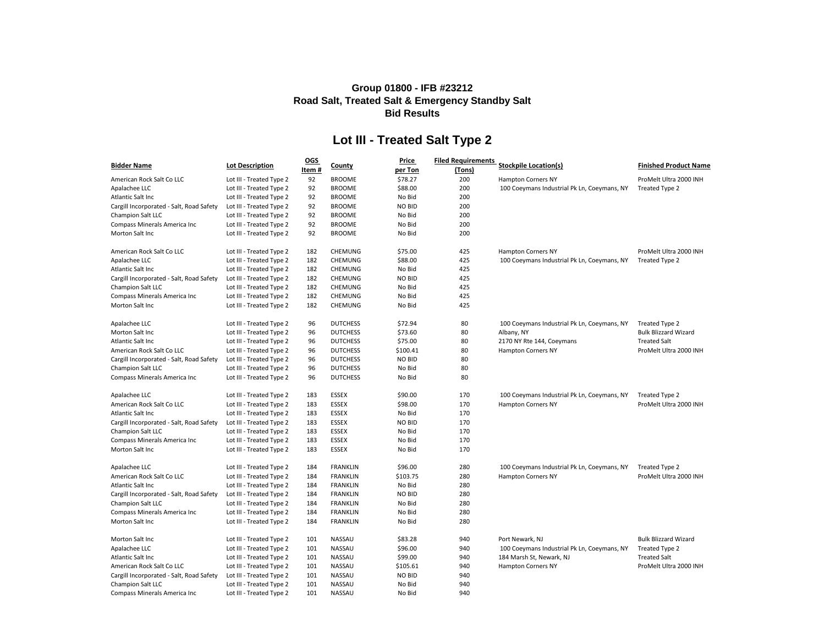|                                          |                          | <u>OGS</u> |                 | <b>Price</b>  | <b>Filed Requirements</b> |                                             |                             |
|------------------------------------------|--------------------------|------------|-----------------|---------------|---------------------------|---------------------------------------------|-----------------------------|
| <b>Bidder Name</b>                       | <b>Lot Description</b>   | Item#      | County          | per Ton       | (Tons)                    | <b>Stockpile Location(s)</b>                | <b>Finished Product Nar</b> |
| American Rock Salt Co LLC                | Lot III - Treated Type 2 | 92         | <b>BROOME</b>   | \$78.27       | 200                       | <b>Hampton Corners NY</b>                   | ProMelt Ultra 2000 INH      |
| Apalachee LLC                            | Lot III - Treated Type 2 | 92         | <b>BROOME</b>   | \$88.00       | 200                       | 100 Coeymans Industrial Pk Ln, Coeymans, NY | Treated Type 2              |
| Atlantic Salt Inc                        | Lot III - Treated Type 2 | 92         | <b>BROOME</b>   | No Bid        | 200                       |                                             |                             |
| Cargill Incorporated - Salt, Road Safety | Lot III - Treated Type 2 | 92         | <b>BROOME</b>   | <b>NO BID</b> | 200                       |                                             |                             |
| Champion Salt LLC                        | Lot III - Treated Type 2 | 92         | <b>BROOME</b>   | No Bid        | 200                       |                                             |                             |
| Compass Minerals America Inc             | Lot III - Treated Type 2 | 92         | <b>BROOME</b>   | No Bid        | 200                       |                                             |                             |
| Morton Salt Inc                          | Lot III - Treated Type 2 | 92         | <b>BROOME</b>   | No Bid        | 200                       |                                             |                             |
| American Rock Salt Co LLC                | Lot III - Treated Type 2 | 182        | <b>CHEMUNG</b>  | \$75.00       | 425                       | <b>Hampton Corners NY</b>                   | ProMelt Ultra 2000 INH      |
| Apalachee LLC                            | Lot III - Treated Type 2 | 182        | <b>CHEMUNG</b>  | \$88.00       | 425                       | 100 Coeymans Industrial Pk Ln, Coeymans, NY | Treated Type 2              |
| Atlantic Salt Inc                        | Lot III - Treated Type 2 | 182        | <b>CHEMUNG</b>  | No Bid        | 425                       |                                             |                             |
| Cargill Incorporated - Salt, Road Safety | Lot III - Treated Type 2 | 182        | <b>CHEMUNG</b>  | <b>NO BID</b> | 425                       |                                             |                             |
| Champion Salt LLC                        | Lot III - Treated Type 2 | 182        | <b>CHEMUNG</b>  | No Bid        | 425                       |                                             |                             |
| Compass Minerals America Inc             | Lot III - Treated Type 2 | 182        | <b>CHEMUNG</b>  | No Bid        | 425                       |                                             |                             |
| Morton Salt Inc                          | Lot III - Treated Type 2 | 182        | <b>CHEMUNG</b>  | No Bid        | 425                       |                                             |                             |
| Apalachee LLC                            | Lot III - Treated Type 2 | 96         | <b>DUTCHESS</b> | \$72.94       | 80                        | 100 Coeymans Industrial Pk Ln, Coeymans, NY | Treated Type 2              |
| Morton Salt Inc                          | Lot III - Treated Type 2 | 96         | <b>DUTCHESS</b> | \$73.60       | 80                        | Albany, NY                                  | <b>Bulk Blizzard Wizard</b> |
| Atlantic Salt Inc                        | Lot III - Treated Type 2 | 96         | <b>DUTCHESS</b> | \$75.00       | 80                        | 2170 NY Rte 144, Coeymans                   | <b>Treated Salt</b>         |
| American Rock Salt Co LLC                | Lot III - Treated Type 2 | 96         | <b>DUTCHESS</b> | \$100.41      | 80                        | <b>Hampton Corners NY</b>                   | ProMelt Ultra 2000 INH      |
| Cargill Incorporated - Salt, Road Safety | Lot III - Treated Type 2 | 96         | <b>DUTCHESS</b> | <b>NO BID</b> | 80                        |                                             |                             |
| Champion Salt LLC                        | Lot III - Treated Type 2 | 96         | <b>DUTCHESS</b> | No Bid        | 80                        |                                             |                             |
| Compass Minerals America Inc             | Lot III - Treated Type 2 | 96         | <b>DUTCHESS</b> | No Bid        | 80                        |                                             |                             |
| Apalachee LLC                            | Lot III - Treated Type 2 | 183        | <b>ESSEX</b>    | \$90.00       | 170                       | 100 Coeymans Industrial Pk Ln, Coeymans, NY | Treated Type 2              |
| American Rock Salt Co LLC                | Lot III - Treated Type 2 | 183        | <b>ESSEX</b>    | \$98.00       | 170                       | <b>Hampton Corners NY</b>                   | ProMelt Ultra 2000 INH      |
| Atlantic Salt Inc                        | Lot III - Treated Type 2 | 183        | <b>ESSEX</b>    | No Bid        | 170                       |                                             |                             |
| Cargill Incorporated - Salt, Road Safety | Lot III - Treated Type 2 | 183        | <b>ESSEX</b>    | <b>NO BID</b> | 170                       |                                             |                             |
| Champion Salt LLC                        | Lot III - Treated Type 2 | 183        | <b>ESSEX</b>    | No Bid        | 170                       |                                             |                             |
| <b>Compass Minerals America Inc</b>      | Lot III - Treated Type 2 | 183        | <b>ESSEX</b>    | No Bid        | 170                       |                                             |                             |
| Morton Salt Inc                          | Lot III - Treated Type 2 | 183        | <b>ESSEX</b>    | No Bid        | 170                       |                                             |                             |
| Apalachee LLC                            | Lot III - Treated Type 2 | 184        | <b>FRANKLIN</b> | \$96.00       | 280                       | 100 Coeymans Industrial Pk Ln, Coeymans, NY | Treated Type 2              |
| American Rock Salt Co LLC                | Lot III - Treated Type 2 | 184        | <b>FRANKLIN</b> | \$103.75      | 280                       | <b>Hampton Corners NY</b>                   | ProMelt Ultra 2000 INH      |
| Atlantic Salt Inc                        | Lot III - Treated Type 2 | 184        | <b>FRANKLIN</b> | No Bid        | 280                       |                                             |                             |
| Cargill Incorporated - Salt, Road Safety | Lot III - Treated Type 2 | 184        | <b>FRANKLIN</b> | <b>NO BID</b> | 280                       |                                             |                             |
| Champion Salt LLC                        | Lot III - Treated Type 2 | 184        | <b>FRANKLIN</b> | No Bid        | 280                       |                                             |                             |
| Compass Minerals America Inc             | Lot III - Treated Type 2 | 184        | <b>FRANKLIN</b> | No Bid        | 280                       |                                             |                             |
| Morton Salt Inc                          | Lot III - Treated Type 2 | 184        | <b>FRANKLIN</b> | No Bid        | 280                       |                                             |                             |
| Morton Salt Inc                          | Lot III - Treated Type 2 | 101        | NASSAU          | \$83.28       | 940                       | Port Newark, NJ                             | <b>Bulk Blizzard Wizard</b> |
| Apalachee LLC                            | Lot III - Treated Type 2 | 101        | NASSAU          | \$96.00       | 940                       | 100 Coeymans Industrial Pk Ln, Coeymans, NY | Treated Type 2              |
| Atlantic Salt Inc                        | Lot III - Treated Type 2 | 101        | <b>NASSAU</b>   | \$99.00       | 940                       | 184 Marsh St, Newark, NJ                    | <b>Treated Salt</b>         |
| American Rock Salt Co LLC                | Lot III - Treated Type 2 | 101        | NASSAU          | \$105.61      | 940                       | <b>Hampton Corners NY</b>                   | ProMelt Ultra 2000 INH      |
| Cargill Incorporated - Salt, Road Safety | Lot III - Treated Type 2 | 101        | NASSAU          | <b>NO BID</b> | 940                       |                                             |                             |
| Champion Salt LLC                        | Lot III - Treated Type 2 | 101        | NASSAU          | No Bid        | 940                       |                                             |                             |
| Compass Minerals America Inc             | Lot III - Treated Type 2 | 101        | NASSAU          | No Bid        | 940                       |                                             |                             |

**(s) Stock Einished Product Name**<br> **Stock**<br> **Stock**<br> **Stock**<br> **Stock**<br> **Stock**<br> **Stock**<br> **Stock**<br> **Stock**<br> **Stock**<br> **Stock**<br> **Stock**<br> **Stock**<br> **Stock**<br> **Stock**  $\frac{1}{2}$  Frial Pk Ln, Coeymans, NY Treated Type 2

#### **Group 01800 - IFB #23212 Road Salt, Treated Salt & Emergency Standby Salt Bid Results**

### **Lot III - Treated Salt Type 2**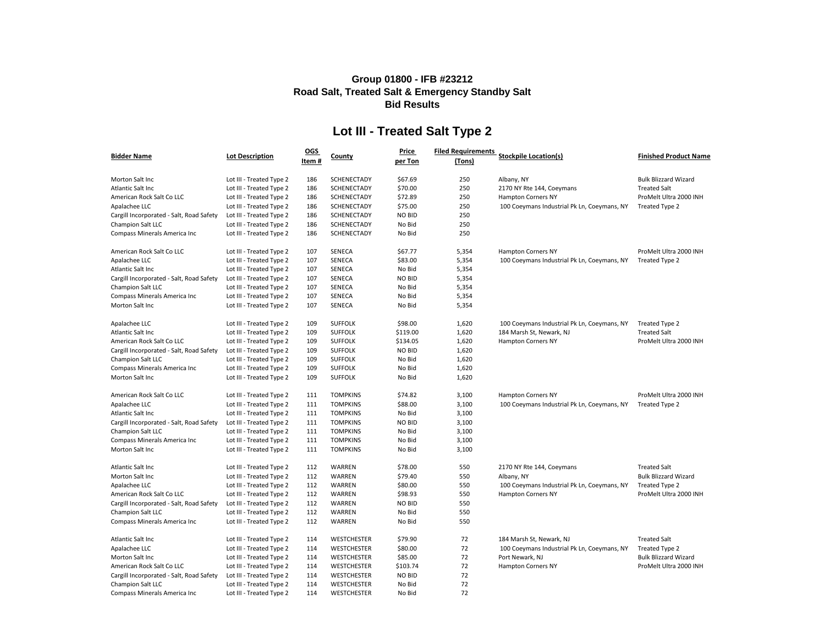## **Lot III - Treated Salt Type 2**

| <b>Bidder Name</b>                       | <b>Lot Description</b>   | <b>OGS</b><br>Item# | County             | <b>Price</b><br>per Ton | <b>Filed Requirements</b><br>(Tons) | <b>Stockpile Location(s)</b>                | <b>Finished Product Name</b> |
|------------------------------------------|--------------------------|---------------------|--------------------|-------------------------|-------------------------------------|---------------------------------------------|------------------------------|
| Morton Salt Inc                          | Lot III - Treated Type 2 | 186                 | <b>SCHENECTADY</b> | \$67.69                 | 250                                 | Albany, NY                                  | <b>Bulk Blizzard Wizard</b>  |
| Atlantic Salt Inc                        | Lot III - Treated Type 2 | 186                 | <b>SCHENECTADY</b> | \$70.00                 | 250                                 | 2170 NY Rte 144, Coeymans                   | <b>Treated Salt</b>          |
| American Rock Salt Co LLC                | Lot III - Treated Type 2 | 186                 | <b>SCHENECTADY</b> | \$72.89                 | 250                                 | <b>Hampton Corners NY</b>                   | ProMelt Ultra 2000 INH       |
| Apalachee LLC                            | Lot III - Treated Type 2 | 186                 | <b>SCHENECTADY</b> | \$75.00                 | 250                                 | 100 Coeymans Industrial Pk Ln, Coeymans, NY | Treated Type 2               |
| Cargill Incorporated - Salt, Road Safety | Lot III - Treated Type 2 | 186                 | SCHENECTADY        | <b>NO BID</b>           | 250                                 |                                             |                              |
| Champion Salt LLC                        | Lot III - Treated Type 2 | 186                 | <b>SCHENECTADY</b> | No Bid                  | 250                                 |                                             |                              |
| Compass Minerals America Inc             | Lot III - Treated Type 2 | 186                 | <b>SCHENECTADY</b> | No Bid                  | 250                                 |                                             |                              |
| American Rock Salt Co LLC                | Lot III - Treated Type 2 | 107                 | <b>SENECA</b>      | \$67.77                 | 5,354                               | <b>Hampton Corners NY</b>                   | ProMelt Ultra 2000 INH       |
| Apalachee LLC                            | Lot III - Treated Type 2 | 107                 | <b>SENECA</b>      | \$83.00                 | 5,354                               | 100 Coeymans Industrial Pk Ln, Coeymans, NY | Treated Type 2               |
| Atlantic Salt Inc                        | Lot III - Treated Type 2 | 107                 | <b>SENECA</b>      | No Bid                  | 5,354                               |                                             |                              |
| Cargill Incorporated - Salt, Road Safety | Lot III - Treated Type 2 | 107                 | <b>SENECA</b>      | <b>NO BID</b>           | 5,354                               |                                             |                              |
| Champion Salt LLC                        | Lot III - Treated Type 2 | 107                 | <b>SENECA</b>      | No Bid                  | 5,354                               |                                             |                              |
| <b>Compass Minerals America Inc</b>      | Lot III - Treated Type 2 | 107                 | <b>SENECA</b>      | No Bid                  | 5,354                               |                                             |                              |
| Morton Salt Inc                          | Lot III - Treated Type 2 | 107                 | <b>SENECA</b>      | No Bid                  | 5,354                               |                                             |                              |
| Apalachee LLC                            | Lot III - Treated Type 2 | 109                 | <b>SUFFOLK</b>     | \$98.00                 | 1,620                               | 100 Coeymans Industrial Pk Ln, Coeymans, NY | Treated Type 2               |
| Atlantic Salt Inc                        | Lot III - Treated Type 2 | 109                 | <b>SUFFOLK</b>     | \$119.00                | 1,620                               | 184 Marsh St, Newark, NJ                    | <b>Treated Salt</b>          |
| American Rock Salt Co LLC                | Lot III - Treated Type 2 | 109                 | <b>SUFFOLK</b>     | \$134.05                | 1,620                               | <b>Hampton Corners NY</b>                   | ProMelt Ultra 2000 INH       |
| Cargill Incorporated - Salt, Road Safety | Lot III - Treated Type 2 | 109                 | <b>SUFFOLK</b>     | <b>NO BID</b>           | 1,620                               |                                             |                              |
| Champion Salt LLC                        | Lot III - Treated Type 2 | 109                 | <b>SUFFOLK</b>     | No Bid                  | 1,620                               |                                             |                              |
| Compass Minerals America Inc             | Lot III - Treated Type 2 | 109                 | <b>SUFFOLK</b>     | No Bid                  | 1,620                               |                                             |                              |
| Morton Salt Inc                          | Lot III - Treated Type 2 | 109                 | <b>SUFFOLK</b>     | No Bid                  | 1,620                               |                                             |                              |
| American Rock Salt Co LLC                | Lot III - Treated Type 2 | 111                 | <b>TOMPKINS</b>    | \$74.82                 | 3,100                               | <b>Hampton Corners NY</b>                   | ProMelt Ultra 2000 INH       |
| Apalachee LLC                            | Lot III - Treated Type 2 | 111                 | <b>TOMPKINS</b>    | \$88.00                 | 3,100                               | 100 Coeymans Industrial Pk Ln, Coeymans, NY | Treated Type 2               |
| Atlantic Salt Inc                        | Lot III - Treated Type 2 | 111                 | <b>TOMPKINS</b>    | No Bid                  | 3,100                               |                                             |                              |
| Cargill Incorporated - Salt, Road Safety | Lot III - Treated Type 2 | 111                 | <b>TOMPKINS</b>    | <b>NO BID</b>           | 3,100                               |                                             |                              |
| <b>Champion Salt LLC</b>                 | Lot III - Treated Type 2 | 111                 | <b>TOMPKINS</b>    | No Bid                  | 3,100                               |                                             |                              |
| <b>Compass Minerals America Inc</b>      | Lot III - Treated Type 2 | 111                 | <b>TOMPKINS</b>    | No Bid                  | 3,100                               |                                             |                              |
| Morton Salt Inc                          | Lot III - Treated Type 2 | 111                 | <b>TOMPKINS</b>    | No Bid                  | 3,100                               |                                             |                              |
| Atlantic Salt Inc                        | Lot III - Treated Type 2 | 112                 | WARREN             | \$78.00                 | 550                                 | 2170 NY Rte 144, Coeymans                   | <b>Treated Salt</b>          |
| Morton Salt Inc                          | Lot III - Treated Type 2 | 112                 | <b>WARREN</b>      | \$79.40                 | 550                                 | Albany, NY                                  | <b>Bulk Blizzard Wizard</b>  |
| Apalachee LLC                            | Lot III - Treated Type 2 | 112                 | <b>WARREN</b>      | \$80.00                 | 550                                 | 100 Coeymans Industrial Pk Ln, Coeymans, NY | Treated Type 2               |
| American Rock Salt Co LLC                | Lot III - Treated Type 2 | 112                 | WARREN             | \$98.93                 | 550                                 | <b>Hampton Corners NY</b>                   | ProMelt Ultra 2000 INH       |
| Cargill Incorporated - Salt, Road Safety | Lot III - Treated Type 2 | 112                 | WARREN             | <b>NO BID</b>           | 550                                 |                                             |                              |
| Champion Salt LLC                        | Lot III - Treated Type 2 | 112                 | WARREN             | No Bid                  | 550                                 |                                             |                              |
| Compass Minerals America Inc             | Lot III - Treated Type 2 | 112                 | WARREN             | No Bid                  | 550                                 |                                             |                              |
| Atlantic Salt Inc                        | Lot III - Treated Type 2 | 114                 | <b>WESTCHESTER</b> | \$79.90                 | 72                                  | 184 Marsh St, Newark, NJ                    | <b>Treated Salt</b>          |
| Apalachee LLC                            | Lot III - Treated Type 2 | 114                 | <b>WESTCHESTER</b> | \$80.00                 | 72                                  | 100 Coeymans Industrial Pk Ln, Coeymans, NY | Treated Type 2               |
| Morton Salt Inc                          | Lot III - Treated Type 2 | 114                 | <b>WESTCHESTER</b> | \$85.00                 | 72                                  | Port Newark, NJ                             | <b>Bulk Blizzard Wizard</b>  |
| American Rock Salt Co LLC                | Lot III - Treated Type 2 | 114                 | <b>WESTCHESTER</b> | \$103.74                | 72                                  | <b>Hampton Corners NY</b>                   | ProMelt Ultra 2000 INH       |
| Cargill Incorporated - Salt, Road Safety | Lot III - Treated Type 2 | 114                 | <b>WESTCHESTER</b> | <b>NO BID</b>           | 72                                  |                                             |                              |
| Champion Salt LLC                        | Lot III - Treated Type 2 | 114                 | <b>WESTCHESTER</b> | No Bid                  | 72                                  |                                             |                              |
| Compass Minerals America Inc             | Lot III - Treated Type 2 | 114                 | <b>WESTCHESTER</b> | No Bid                  | 72                                  |                                             |                              |